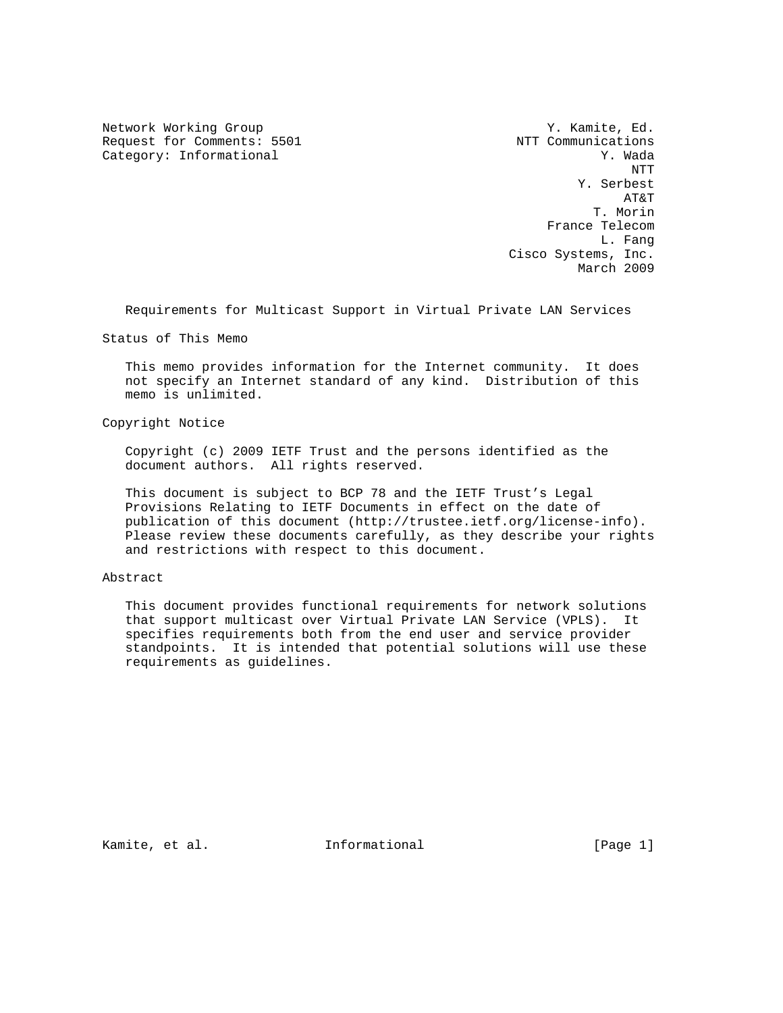Network Working Group Network Working Group Network Working Group Request for Comments: 5501 NTT Communications Category: Informational  $Y.$  Wada

 NTT Y. Serbest AT&T T. Morin France Telecom L. Fang Cisco Systems, Inc. March 2009

Requirements for Multicast Support in Virtual Private LAN Services

Status of This Memo

 This memo provides information for the Internet community. It does not specify an Internet standard of any kind. Distribution of this memo is unlimited.

Copyright Notice

 Copyright (c) 2009 IETF Trust and the persons identified as the document authors. All rights reserved.

 This document is subject to BCP 78 and the IETF Trust's Legal Provisions Relating to IETF Documents in effect on the date of publication of this document (http://trustee.ietf.org/license-info). Please review these documents carefully, as they describe your rights and restrictions with respect to this document.

## Abstract

 This document provides functional requirements for network solutions that support multicast over Virtual Private LAN Service (VPLS). It specifies requirements both from the end user and service provider standpoints. It is intended that potential solutions will use these requirements as guidelines.

Kamite, et al. **Informational** [Page 1]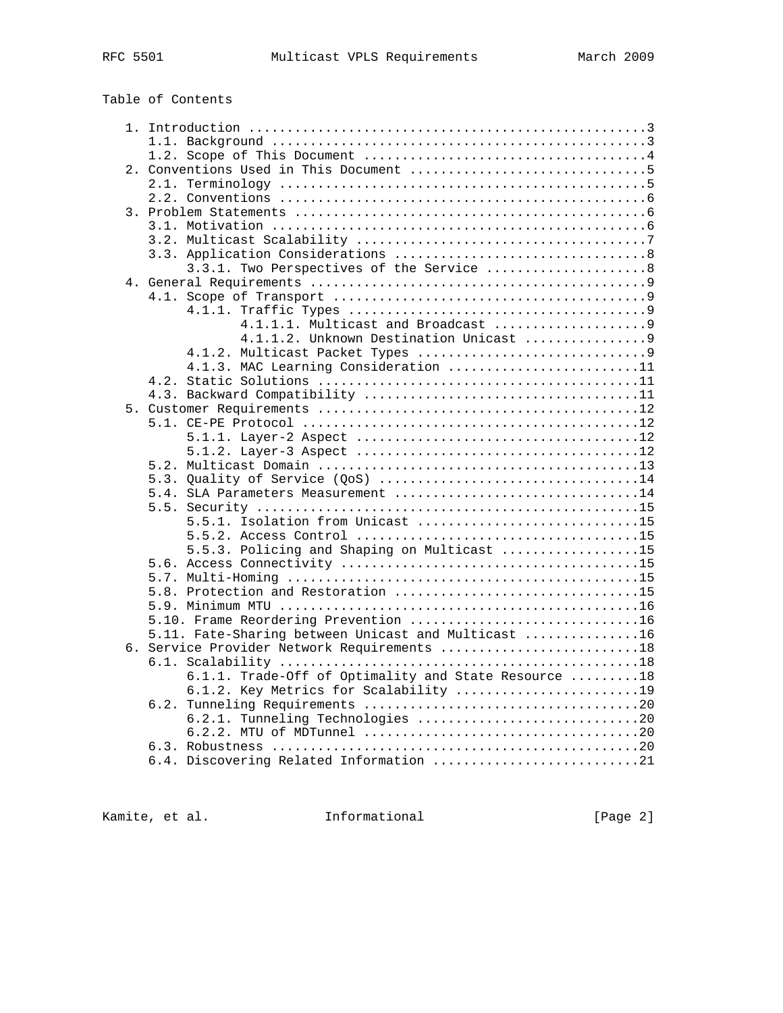| RFC | 55 N |
|-----|------|
|     |      |

|  | Table of Contents |
|--|-------------------|
|  |                   |

| 3.3.1. Two Perspectives of the Service  8            |  |
|------------------------------------------------------|--|
|                                                      |  |
|                                                      |  |
|                                                      |  |
| 4.1.1.1. Multicast and Broadcast 9                   |  |
|                                                      |  |
|                                                      |  |
| 4.1.3. MAC Learning Consideration 11                 |  |
|                                                      |  |
|                                                      |  |
|                                                      |  |
|                                                      |  |
|                                                      |  |
|                                                      |  |
|                                                      |  |
| 5.3. Quality of Service (QoS) 14                     |  |
| 5.4. SLA Parameters Measurement 14                   |  |
|                                                      |  |
| 5.5.1. Isolation from Unicast 15                     |  |
|                                                      |  |
| 5.5.3. Policing and Shaping on Multicast 15          |  |
|                                                      |  |
|                                                      |  |
| 5.8. Protection and Restoration 15                   |  |
|                                                      |  |
| 5.10. Frame Reordering Prevention 16                 |  |
| 5.11. Fate-Sharing between Unicast and Multicast 16  |  |
| 6. Service Provider Network Requirements 18          |  |
|                                                      |  |
| 6.1.1. Trade-Off of Optimality and State Resource 18 |  |
| 6.1.2. Key Metrics for Scalability 19                |  |
|                                                      |  |
| 6.2.1. Tunneling Technologies 20                     |  |
|                                                      |  |
|                                                      |  |
| 6.4. Discovering Related Information 21              |  |
|                                                      |  |

Kamite, et al. 1nformational [Page 2]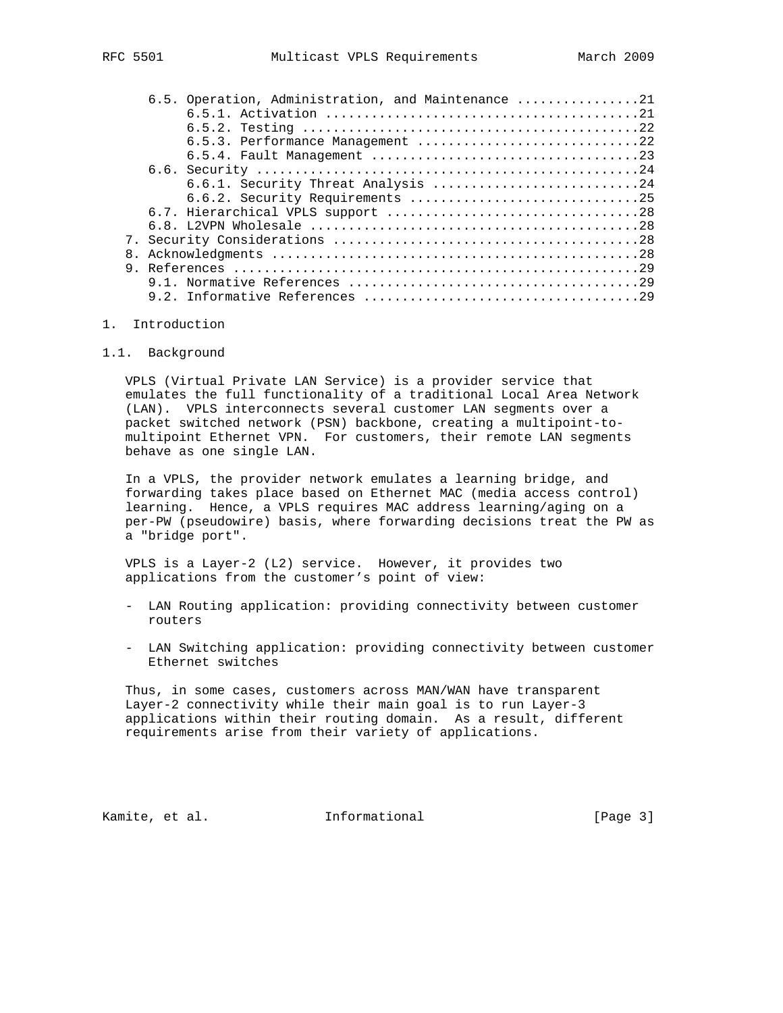|  | 6.5. Operation, Administration, and Maintenance 21 |
|--|----------------------------------------------------|
|  |                                                    |
|  |                                                    |
|  | 6.5.3. Performance Management 22                   |
|  |                                                    |
|  |                                                    |
|  |                                                    |
|  | 6.6.2. Security Requirements 25                    |
|  |                                                    |
|  |                                                    |
|  |                                                    |
|  |                                                    |
|  |                                                    |
|  |                                                    |
|  |                                                    |
|  |                                                    |

#### 1. Introduction

#### 1.1. Background

 VPLS (Virtual Private LAN Service) is a provider service that emulates the full functionality of a traditional Local Area Network (LAN). VPLS interconnects several customer LAN segments over a packet switched network (PSN) backbone, creating a multipoint-to multipoint Ethernet VPN. For customers, their remote LAN segments behave as one single LAN.

 In a VPLS, the provider network emulates a learning bridge, and forwarding takes place based on Ethernet MAC (media access control) learning. Hence, a VPLS requires MAC address learning/aging on a per-PW (pseudowire) basis, where forwarding decisions treat the PW as a "bridge port".

 VPLS is a Layer-2 (L2) service. However, it provides two applications from the customer's point of view:

- LAN Routing application: providing connectivity between customer routers
- LAN Switching application: providing connectivity between customer Ethernet switches

 Thus, in some cases, customers across MAN/WAN have transparent Layer-2 connectivity while their main goal is to run Layer-3 applications within their routing domain. As a result, different requirements arise from their variety of applications.

Kamite, et al. 1nformational [Page 3]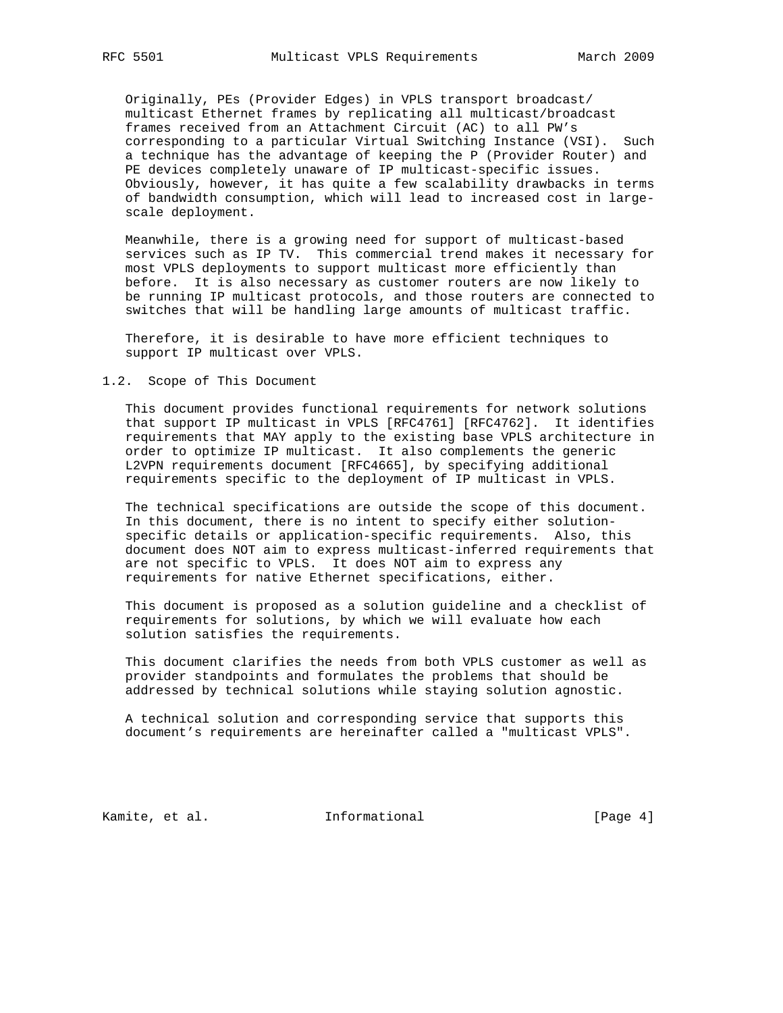Originally, PEs (Provider Edges) in VPLS transport broadcast/ multicast Ethernet frames by replicating all multicast/broadcast frames received from an Attachment Circuit (AC) to all PW's corresponding to a particular Virtual Switching Instance (VSI). Such a technique has the advantage of keeping the P (Provider Router) and PE devices completely unaware of IP multicast-specific issues. Obviously, however, it has quite a few scalability drawbacks in terms of bandwidth consumption, which will lead to increased cost in large scale deployment.

 Meanwhile, there is a growing need for support of multicast-based services such as IP TV. This commercial trend makes it necessary for most VPLS deployments to support multicast more efficiently than before. It is also necessary as customer routers are now likely to be running IP multicast protocols, and those routers are connected to switches that will be handling large amounts of multicast traffic.

 Therefore, it is desirable to have more efficient techniques to support IP multicast over VPLS.

### 1.2. Scope of This Document

 This document provides functional requirements for network solutions that support IP multicast in VPLS [RFC4761] [RFC4762]. It identifies requirements that MAY apply to the existing base VPLS architecture in order to optimize IP multicast. It also complements the generic L2VPN requirements document [RFC4665], by specifying additional requirements specific to the deployment of IP multicast in VPLS.

 The technical specifications are outside the scope of this document. In this document, there is no intent to specify either solution specific details or application-specific requirements. Also, this document does NOT aim to express multicast-inferred requirements that are not specific to VPLS. It does NOT aim to express any requirements for native Ethernet specifications, either.

 This document is proposed as a solution guideline and a checklist of requirements for solutions, by which we will evaluate how each solution satisfies the requirements.

 This document clarifies the needs from both VPLS customer as well as provider standpoints and formulates the problems that should be addressed by technical solutions while staying solution agnostic.

 A technical solution and corresponding service that supports this document's requirements are hereinafter called a "multicast VPLS".

Kamite, et al. 1nformational [Page 4]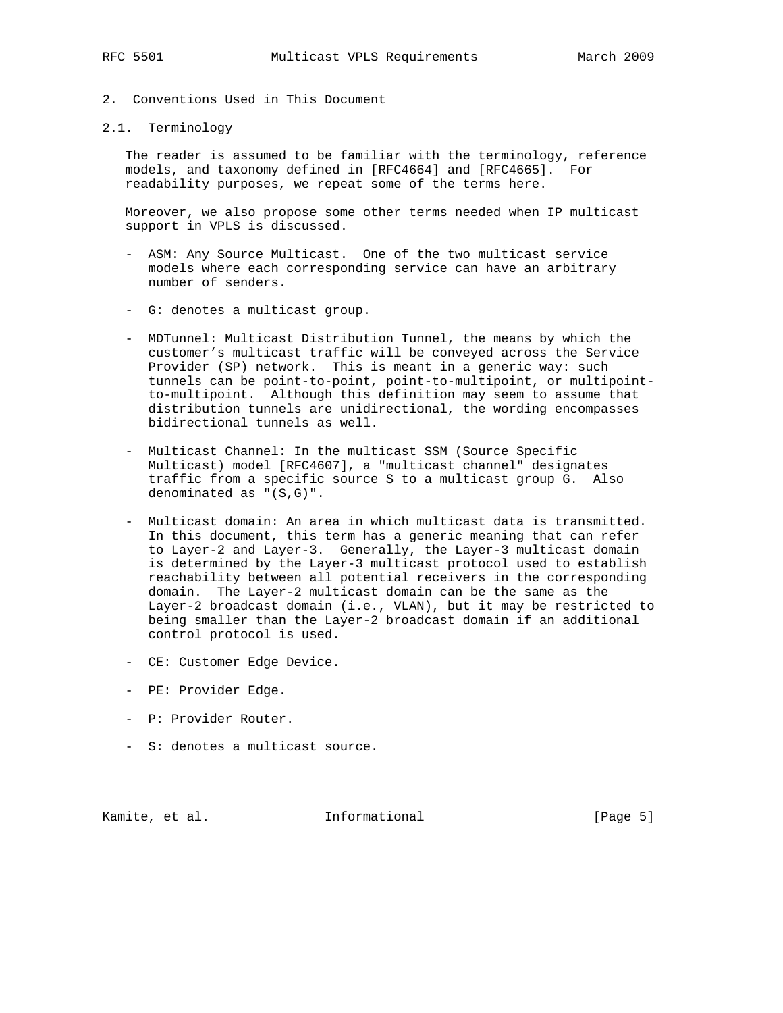2. Conventions Used in This Document

# 2.1. Terminology

 The reader is assumed to be familiar with the terminology, reference models, and taxonomy defined in [RFC4664] and [RFC4665]. For readability purposes, we repeat some of the terms here.

 Moreover, we also propose some other terms needed when IP multicast support in VPLS is discussed.

- ASM: Any Source Multicast. One of the two multicast service models where each corresponding service can have an arbitrary number of senders.
- G: denotes a multicast group.
- MDTunnel: Multicast Distribution Tunnel, the means by which the customer's multicast traffic will be conveyed across the Service Provider (SP) network. This is meant in a generic way: such tunnels can be point-to-point, point-to-multipoint, or multipoint to-multipoint. Although this definition may seem to assume that distribution tunnels are unidirectional, the wording encompasses bidirectional tunnels as well.
- Multicast Channel: In the multicast SSM (Source Specific Multicast) model [RFC4607], a "multicast channel" designates traffic from a specific source S to a multicast group G. Also denominated as "(S,G)".
- Multicast domain: An area in which multicast data is transmitted. In this document, this term has a generic meaning that can refer to Layer-2 and Layer-3. Generally, the Layer-3 multicast domain is determined by the Layer-3 multicast protocol used to establish reachability between all potential receivers in the corresponding domain. The Layer-2 multicast domain can be the same as the Layer-2 broadcast domain (i.e., VLAN), but it may be restricted to being smaller than the Layer-2 broadcast domain if an additional control protocol is used.
- CE: Customer Edge Device.
- PE: Provider Edge.
- P: Provider Router.
- S: denotes a multicast source.

Kamite, et al. **Informational** [Page 5]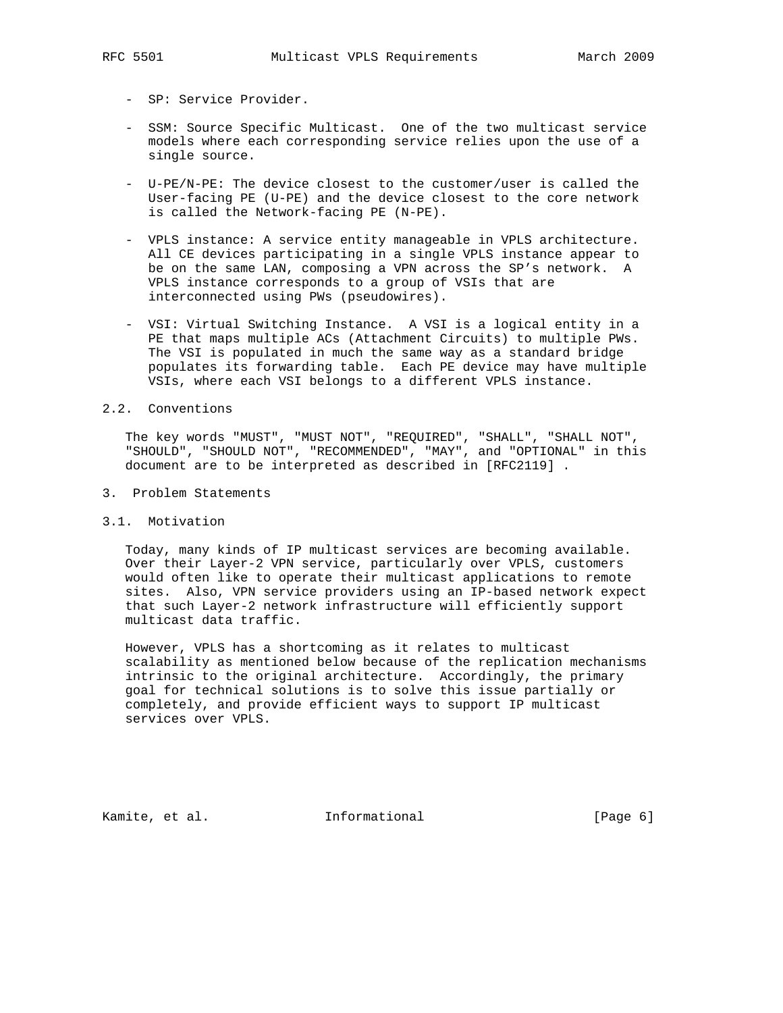- SP: Service Provider.
- SSM: Source Specific Multicast. One of the two multicast service models where each corresponding service relies upon the use of a single source.
- U-PE/N-PE: The device closest to the customer/user is called the User-facing PE (U-PE) and the device closest to the core network is called the Network-facing PE (N-PE).
- VPLS instance: A service entity manageable in VPLS architecture. All CE devices participating in a single VPLS instance appear to be on the same LAN, composing a VPN across the SP's network. A VPLS instance corresponds to a group of VSIs that are interconnected using PWs (pseudowires).
- VSI: Virtual Switching Instance. A VSI is a logical entity in a PE that maps multiple ACs (Attachment Circuits) to multiple PWs. The VSI is populated in much the same way as a standard bridge populates its forwarding table. Each PE device may have multiple VSIs, where each VSI belongs to a different VPLS instance.

## 2.2. Conventions

 The key words "MUST", "MUST NOT", "REQUIRED", "SHALL", "SHALL NOT", "SHOULD", "SHOULD NOT", "RECOMMENDED", "MAY", and "OPTIONAL" in this document are to be interpreted as described in [RFC2119] .

3. Problem Statements

#### 3.1. Motivation

 Today, many kinds of IP multicast services are becoming available. Over their Layer-2 VPN service, particularly over VPLS, customers would often like to operate their multicast applications to remote sites. Also, VPN service providers using an IP-based network expect that such Layer-2 network infrastructure will efficiently support multicast data traffic.

 However, VPLS has a shortcoming as it relates to multicast scalability as mentioned below because of the replication mechanisms intrinsic to the original architecture. Accordingly, the primary goal for technical solutions is to solve this issue partially or completely, and provide efficient ways to support IP multicast services over VPLS.

Kamite, et al. **Informational** [Page 6]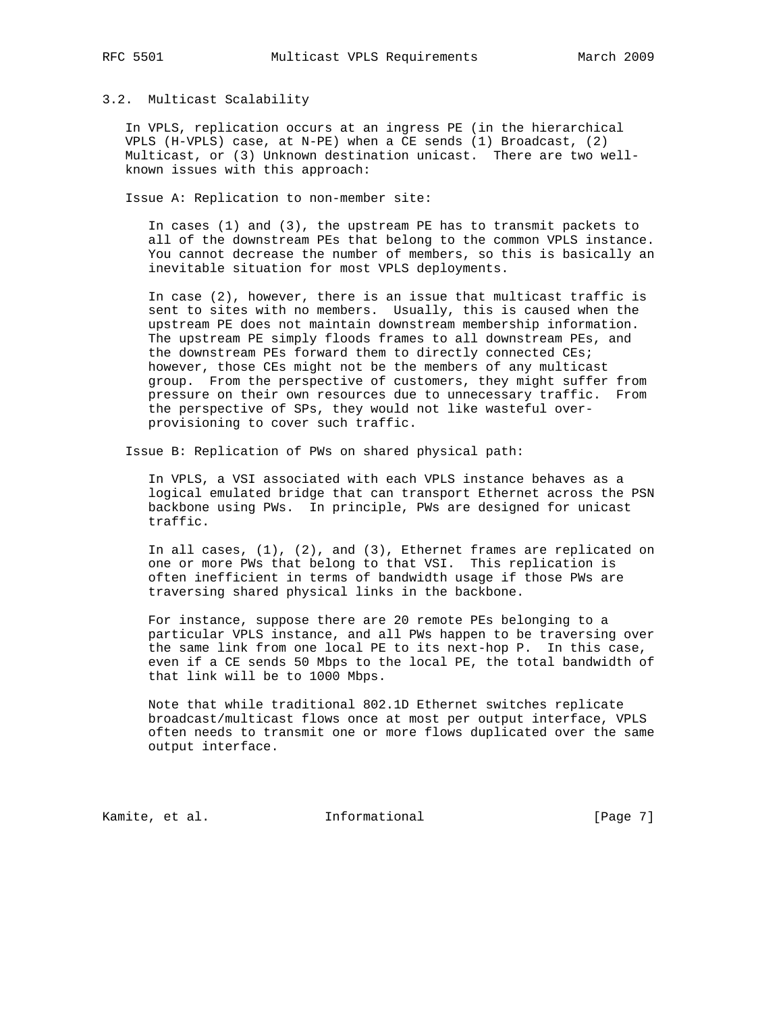### 3.2. Multicast Scalability

 In VPLS, replication occurs at an ingress PE (in the hierarchical VPLS (H-VPLS) case, at N-PE) when a CE sends (1) Broadcast, (2) Multicast, or (3) Unknown destination unicast. There are two well known issues with this approach:

Issue A: Replication to non-member site:

 In cases (1) and (3), the upstream PE has to transmit packets to all of the downstream PEs that belong to the common VPLS instance. You cannot decrease the number of members, so this is basically an inevitable situation for most VPLS deployments.

 In case (2), however, there is an issue that multicast traffic is sent to sites with no members. Usually, this is caused when the upstream PE does not maintain downstream membership information. The upstream PE simply floods frames to all downstream PEs, and the downstream PEs forward them to directly connected CEs; however, those CEs might not be the members of any multicast group. From the perspective of customers, they might suffer from pressure on their own resources due to unnecessary traffic. From the perspective of SPs, they would not like wasteful over provisioning to cover such traffic.

Issue B: Replication of PWs on shared physical path:

 In VPLS, a VSI associated with each VPLS instance behaves as a logical emulated bridge that can transport Ethernet across the PSN backbone using PWs. In principle, PWs are designed for unicast traffic.

 In all cases, (1), (2), and (3), Ethernet frames are replicated on one or more PWs that belong to that VSI. This replication is often inefficient in terms of bandwidth usage if those PWs are traversing shared physical links in the backbone.

 For instance, suppose there are 20 remote PEs belonging to a particular VPLS instance, and all PWs happen to be traversing over the same link from one local PE to its next-hop P. In this case, even if a CE sends 50 Mbps to the local PE, the total bandwidth of that link will be to 1000 Mbps.

 Note that while traditional 802.1D Ethernet switches replicate broadcast/multicast flows once at most per output interface, VPLS often needs to transmit one or more flows duplicated over the same output interface.

Kamite, et al. **Informational** [Page 7]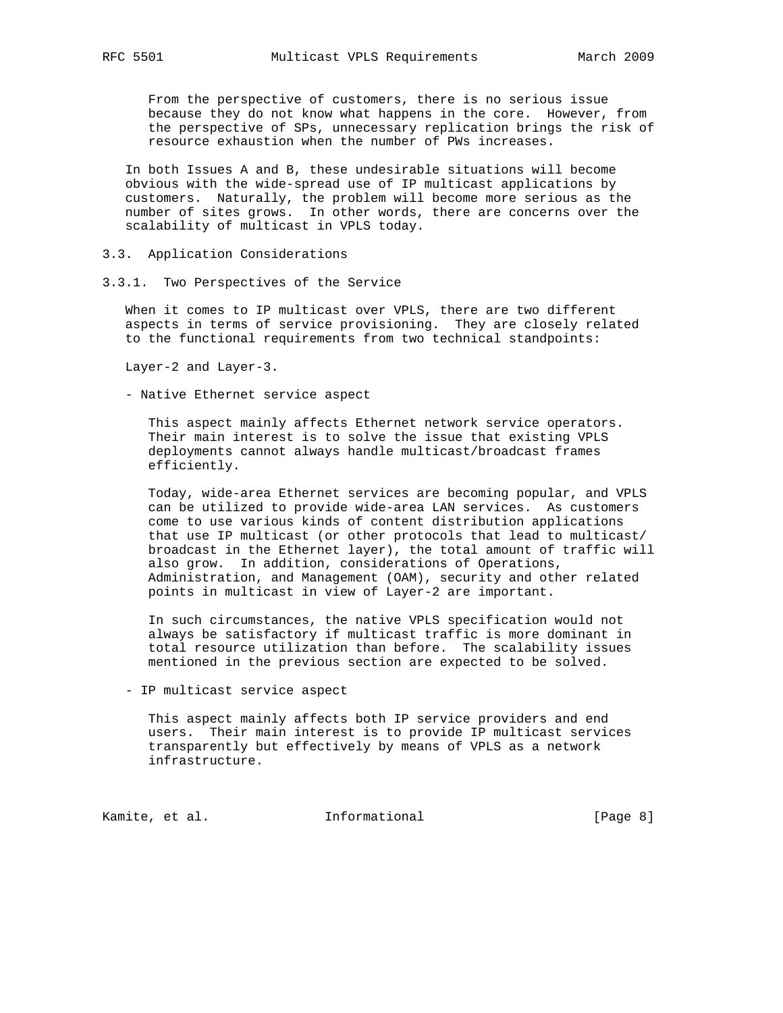From the perspective of customers, there is no serious issue because they do not know what happens in the core. However, from the perspective of SPs, unnecessary replication brings the risk of resource exhaustion when the number of PWs increases.

 In both Issues A and B, these undesirable situations will become obvious with the wide-spread use of IP multicast applications by customers. Naturally, the problem will become more serious as the number of sites grows. In other words, there are concerns over the scalability of multicast in VPLS today.

- 3.3. Application Considerations
- 3.3.1. Two Perspectives of the Service

 When it comes to IP multicast over VPLS, there are two different aspects in terms of service provisioning. They are closely related to the functional requirements from two technical standpoints:

Layer-2 and Layer-3.

- Native Ethernet service aspect

 This aspect mainly affects Ethernet network service operators. Their main interest is to solve the issue that existing VPLS deployments cannot always handle multicast/broadcast frames efficiently.

 Today, wide-area Ethernet services are becoming popular, and VPLS can be utilized to provide wide-area LAN services. As customers come to use various kinds of content distribution applications that use IP multicast (or other protocols that lead to multicast/ broadcast in the Ethernet layer), the total amount of traffic will also grow. In addition, considerations of Operations, Administration, and Management (OAM), security and other related points in multicast in view of Layer-2 are important.

 In such circumstances, the native VPLS specification would not always be satisfactory if multicast traffic is more dominant in total resource utilization than before. The scalability issues mentioned in the previous section are expected to be solved.

- IP multicast service aspect

 This aspect mainly affects both IP service providers and end users. Their main interest is to provide IP multicast services transparently but effectively by means of VPLS as a network infrastructure.

Kamite, et al. 1nformational 1999 [Page 8]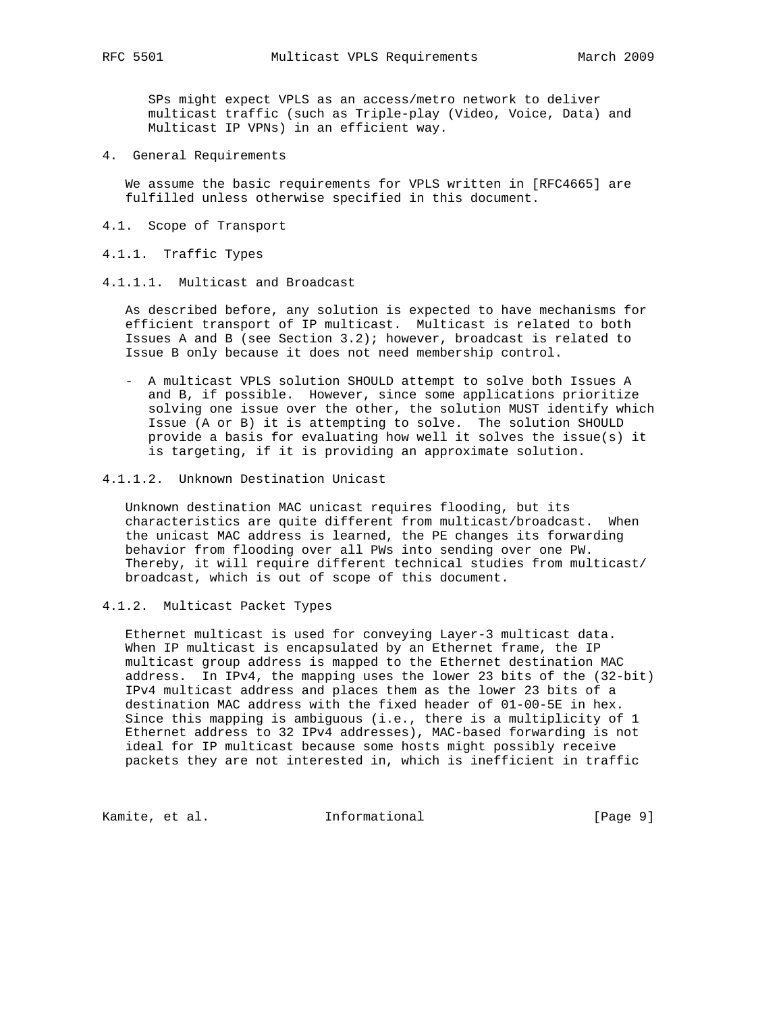SPs might expect VPLS as an access/metro network to deliver multicast traffic (such as Triple-play (Video, Voice, Data) and Multicast IP VPNs) in an efficient way.

4. General Requirements

 We assume the basic requirements for VPLS written in [RFC4665] are fulfilled unless otherwise specified in this document.

- 4.1. Scope of Transport
- 4.1.1. Traffic Types
- 4.1.1.1. Multicast and Broadcast

 As described before, any solution is expected to have mechanisms for efficient transport of IP multicast. Multicast is related to both Issues A and B (see Section 3.2); however, broadcast is related to Issue B only because it does not need membership control.

- A multicast VPLS solution SHOULD attempt to solve both Issues A and B, if possible. However, since some applications prioritize solving one issue over the other, the solution MUST identify which Issue (A or B) it is attempting to solve. The solution SHOULD provide a basis for evaluating how well it solves the issue(s) it is targeting, if it is providing an approximate solution.
- 4.1.1.2. Unknown Destination Unicast

 Unknown destination MAC unicast requires flooding, but its characteristics are quite different from multicast/broadcast. When the unicast MAC address is learned, the PE changes its forwarding behavior from flooding over all PWs into sending over one PW. Thereby, it will require different technical studies from multicast/ broadcast, which is out of scope of this document.

4.1.2. Multicast Packet Types

 Ethernet multicast is used for conveying Layer-3 multicast data. When IP multicast is encapsulated by an Ethernet frame, the IP multicast group address is mapped to the Ethernet destination MAC address. In IPv4, the mapping uses the lower 23 bits of the (32-bit) IPv4 multicast address and places them as the lower 23 bits of a destination MAC address with the fixed header of 01-00-5E in hex. Since this mapping is ambiguous (i.e., there is a multiplicity of 1 Ethernet address to 32 IPv4 addresses), MAC-based forwarding is not ideal for IP multicast because some hosts might possibly receive packets they are not interested in, which is inefficient in traffic

Kamite, et al. 1nformational 1999 [Page 9]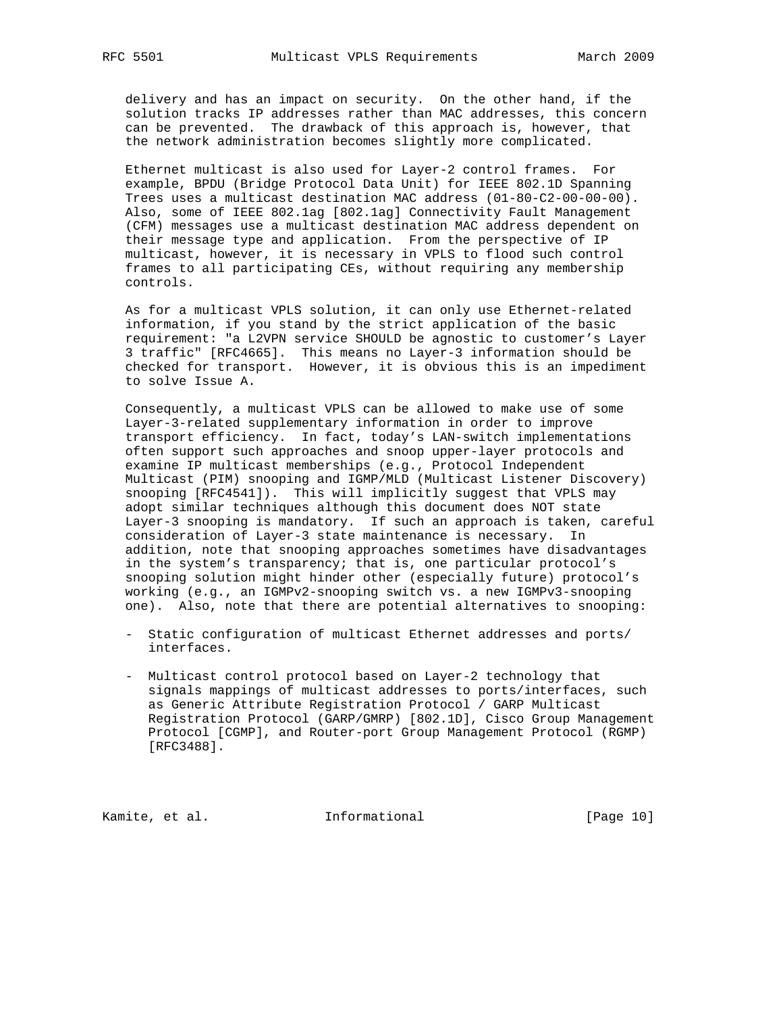delivery and has an impact on security. On the other hand, if the solution tracks IP addresses rather than MAC addresses, this concern can be prevented. The drawback of this approach is, however, that the network administration becomes slightly more complicated.

 Ethernet multicast is also used for Layer-2 control frames. For example, BPDU (Bridge Protocol Data Unit) for IEEE 802.1D Spanning Trees uses a multicast destination MAC address (01-80-C2-00-00-00). Also, some of IEEE 802.1ag [802.1ag] Connectivity Fault Management (CFM) messages use a multicast destination MAC address dependent on their message type and application. From the perspective of IP multicast, however, it is necessary in VPLS to flood such control frames to all participating CEs, without requiring any membership controls.

 As for a multicast VPLS solution, it can only use Ethernet-related information, if you stand by the strict application of the basic requirement: "a L2VPN service SHOULD be agnostic to customer's Layer 3 traffic" [RFC4665]. This means no Layer-3 information should be checked for transport. However, it is obvious this is an impediment to solve Issue A.

 Consequently, a multicast VPLS can be allowed to make use of some Layer-3-related supplementary information in order to improve transport efficiency. In fact, today's LAN-switch implementations often support such approaches and snoop upper-layer protocols and examine IP multicast memberships (e.g., Protocol Independent Multicast (PIM) snooping and IGMP/MLD (Multicast Listener Discovery) snooping [RFC4541]). This will implicitly suggest that VPLS may adopt similar techniques although this document does NOT state Layer-3 snooping is mandatory. If such an approach is taken, careful consideration of Layer-3 state maintenance is necessary. In addition, note that snooping approaches sometimes have disadvantages in the system's transparency; that is, one particular protocol's snooping solution might hinder other (especially future) protocol's working (e.g., an IGMPv2-snooping switch vs. a new IGMPv3-snooping one). Also, note that there are potential alternatives to snooping:

- Static configuration of multicast Ethernet addresses and ports/ interfaces.
- Multicast control protocol based on Layer-2 technology that signals mappings of multicast addresses to ports/interfaces, such as Generic Attribute Registration Protocol / GARP Multicast Registration Protocol (GARP/GMRP) [802.1D], Cisco Group Management Protocol [CGMP], and Router-port Group Management Protocol (RGMP) [RFC3488].

Kamite, et al. 1nformational [Page 10]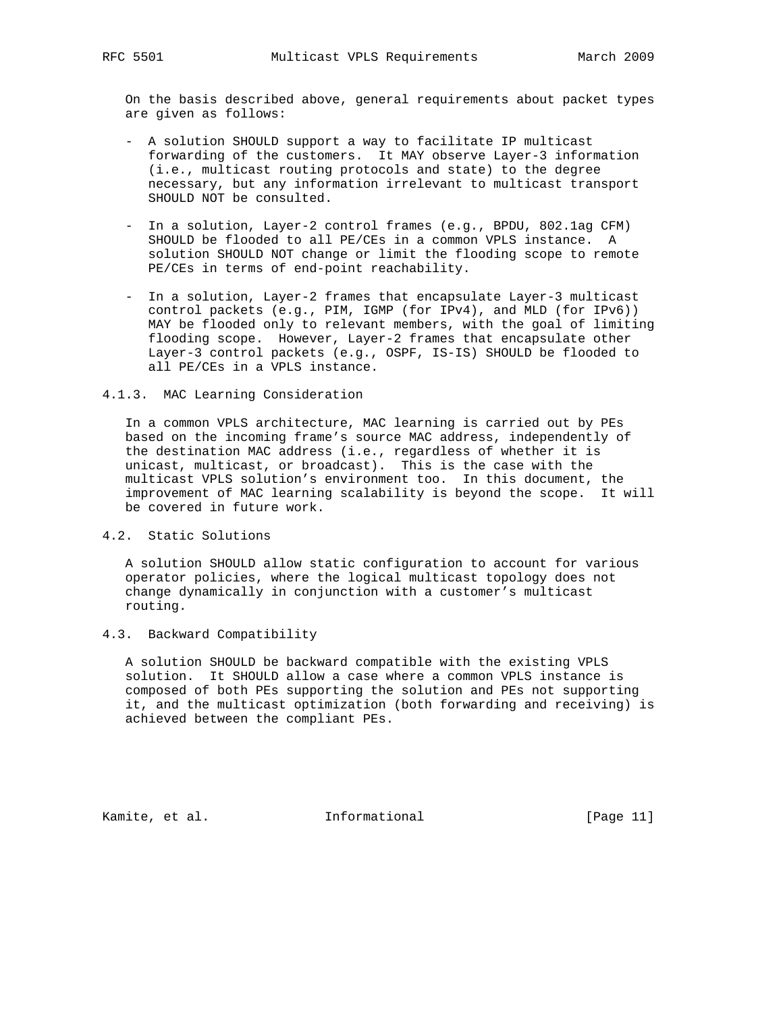On the basis described above, general requirements about packet types are given as follows:

- A solution SHOULD support a way to facilitate IP multicast forwarding of the customers. It MAY observe Layer-3 information (i.e., multicast routing protocols and state) to the degree necessary, but any information irrelevant to multicast transport SHOULD NOT be consulted.
- In a solution, Layer-2 control frames (e.g., BPDU, 802.1ag CFM) SHOULD be flooded to all PE/CEs in a common VPLS instance. A solution SHOULD NOT change or limit the flooding scope to remote PE/CEs in terms of end-point reachability.
- In a solution, Layer-2 frames that encapsulate Layer-3 multicast control packets (e.g., PIM, IGMP (for IPv4), and MLD (for IPv6)) MAY be flooded only to relevant members, with the goal of limiting flooding scope. However, Layer-2 frames that encapsulate other Layer-3 control packets (e.g., OSPF, IS-IS) SHOULD be flooded to all PE/CEs in a VPLS instance.

### 4.1.3. MAC Learning Consideration

 In a common VPLS architecture, MAC learning is carried out by PEs based on the incoming frame's source MAC address, independently of the destination MAC address (i.e., regardless of whether it is unicast, multicast, or broadcast). This is the case with the multicast VPLS solution's environment too. In this document, the improvement of MAC learning scalability is beyond the scope. It will be covered in future work.

4.2. Static Solutions

 A solution SHOULD allow static configuration to account for various operator policies, where the logical multicast topology does not change dynamically in conjunction with a customer's multicast routing.

4.3. Backward Compatibility

 A solution SHOULD be backward compatible with the existing VPLS solution. It SHOULD allow a case where a common VPLS instance is composed of both PEs supporting the solution and PEs not supporting it, and the multicast optimization (both forwarding and receiving) is achieved between the compliant PEs.

Kamite, et al. **Informational** [Page 11]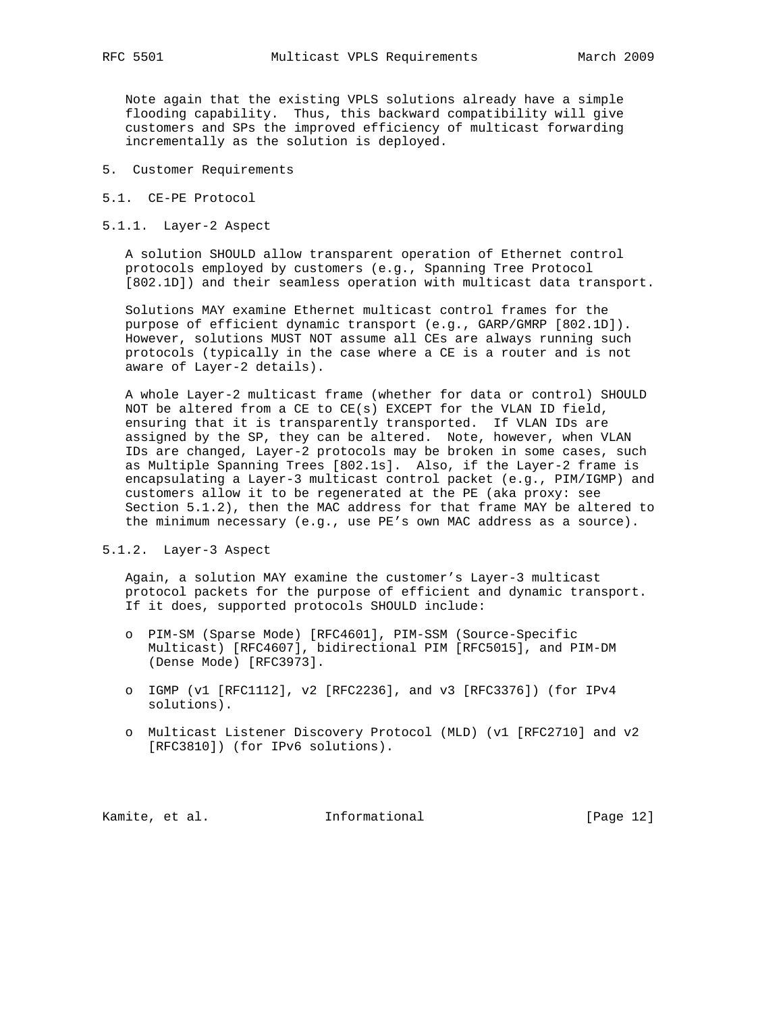Note again that the existing VPLS solutions already have a simple flooding capability. Thus, this backward compatibility will give customers and SPs the improved efficiency of multicast forwarding incrementally as the solution is deployed.

- 5. Customer Requirements
- 5.1. CE-PE Protocol
- 5.1.1. Layer-2 Aspect

 A solution SHOULD allow transparent operation of Ethernet control protocols employed by customers (e.g., Spanning Tree Protocol [802.1D]) and their seamless operation with multicast data transport.

 Solutions MAY examine Ethernet multicast control frames for the purpose of efficient dynamic transport (e.g., GARP/GMRP [802.1D]). However, solutions MUST NOT assume all CEs are always running such protocols (typically in the case where a CE is a router and is not aware of Layer-2 details).

 A whole Layer-2 multicast frame (whether for data or control) SHOULD NOT be altered from a CE to  $CE(s)$  EXCEPT for the VLAN ID field, ensuring that it is transparently transported. If VLAN IDs are assigned by the SP, they can be altered. Note, however, when VLAN IDs are changed, Layer-2 protocols may be broken in some cases, such as Multiple Spanning Trees [802.1s]. Also, if the Layer-2 frame is encapsulating a Layer-3 multicast control packet (e.g., PIM/IGMP) and customers allow it to be regenerated at the PE (aka proxy: see Section 5.1.2), then the MAC address for that frame MAY be altered to the minimum necessary (e.g., use PE's own MAC address as a source).

#### 5.1.2. Layer-3 Aspect

 Again, a solution MAY examine the customer's Layer-3 multicast protocol packets for the purpose of efficient and dynamic transport. If it does, supported protocols SHOULD include:

- o PIM-SM (Sparse Mode) [RFC4601], PIM-SSM (Source-Specific Multicast) [RFC4607], bidirectional PIM [RFC5015], and PIM-DM (Dense Mode) [RFC3973].
- o IGMP (v1 [RFC1112], v2 [RFC2236], and v3 [RFC3376]) (for IPv4 solutions).
- o Multicast Listener Discovery Protocol (MLD) (v1 [RFC2710] and v2 [RFC3810]) (for IPv6 solutions).

Kamite, et al. 1nformational [Page 12]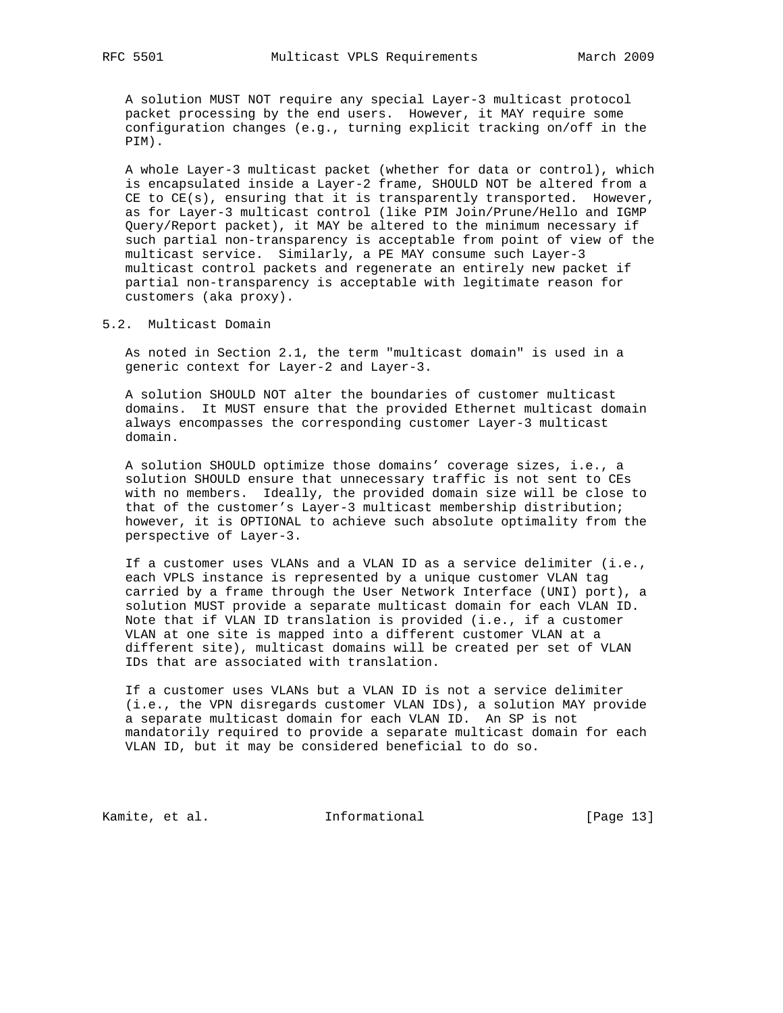A solution MUST NOT require any special Layer-3 multicast protocol packet processing by the end users. However, it MAY require some configuration changes (e.g., turning explicit tracking on/off in the PIM).

 A whole Layer-3 multicast packet (whether for data or control), which is encapsulated inside a Layer-2 frame, SHOULD NOT be altered from a CE to  $CE(s)$ , ensuring that it is transparently transported. However, as for Layer-3 multicast control (like PIM Join/Prune/Hello and IGMP Query/Report packet), it MAY be altered to the minimum necessary if such partial non-transparency is acceptable from point of view of the multicast service. Similarly, a PE MAY consume such Layer-3 multicast control packets and regenerate an entirely new packet if partial non-transparency is acceptable with legitimate reason for customers (aka proxy).

5.2. Multicast Domain

 As noted in Section 2.1, the term "multicast domain" is used in a generic context for Layer-2 and Layer-3.

 A solution SHOULD NOT alter the boundaries of customer multicast domains. It MUST ensure that the provided Ethernet multicast domain always encompasses the corresponding customer Layer-3 multicast domain.

 A solution SHOULD optimize those domains' coverage sizes, i.e., a solution SHOULD ensure that unnecessary traffic is not sent to CEs with no members. Ideally, the provided domain size will be close to that of the customer's Layer-3 multicast membership distribution; however, it is OPTIONAL to achieve such absolute optimality from the perspective of Layer-3.

 If a customer uses VLANs and a VLAN ID as a service delimiter (i.e., each VPLS instance is represented by a unique customer VLAN tag carried by a frame through the User Network Interface (UNI) port), a solution MUST provide a separate multicast domain for each VLAN ID. Note that if VLAN ID translation is provided (i.e., if a customer VLAN at one site is mapped into a different customer VLAN at a different site), multicast domains will be created per set of VLAN IDs that are associated with translation.

 If a customer uses VLANs but a VLAN ID is not a service delimiter (i.e., the VPN disregards customer VLAN IDs), a solution MAY provide a separate multicast domain for each VLAN ID. An SP is not mandatorily required to provide a separate multicast domain for each VLAN ID, but it may be considered beneficial to do so.

Kamite, et al. 1nformational [Page 13]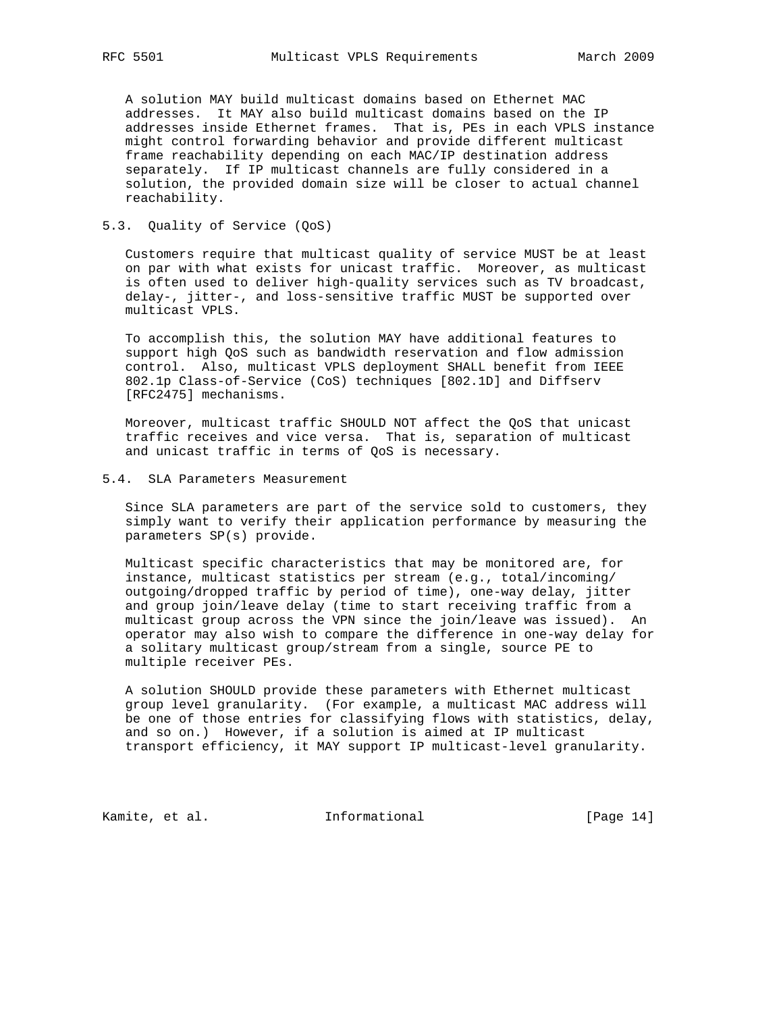A solution MAY build multicast domains based on Ethernet MAC addresses. It MAY also build multicast domains based on the IP addresses inside Ethernet frames. That is, PEs in each VPLS instance might control forwarding behavior and provide different multicast frame reachability depending on each MAC/IP destination address separately. If IP multicast channels are fully considered in a solution, the provided domain size will be closer to actual channel reachability.

### 5.3. Quality of Service (QoS)

 Customers require that multicast quality of service MUST be at least on par with what exists for unicast traffic. Moreover, as multicast is often used to deliver high-quality services such as TV broadcast, delay-, jitter-, and loss-sensitive traffic MUST be supported over multicast VPLS.

 To accomplish this, the solution MAY have additional features to support high QoS such as bandwidth reservation and flow admission control. Also, multicast VPLS deployment SHALL benefit from IEEE 802.1p Class-of-Service (CoS) techniques [802.1D] and Diffserv [RFC2475] mechanisms.

 Moreover, multicast traffic SHOULD NOT affect the QoS that unicast traffic receives and vice versa. That is, separation of multicast and unicast traffic in terms of QoS is necessary.

#### 5.4. SLA Parameters Measurement

 Since SLA parameters are part of the service sold to customers, they simply want to verify their application performance by measuring the parameters SP(s) provide.

 Multicast specific characteristics that may be monitored are, for instance, multicast statistics per stream (e.g., total/incoming/ outgoing/dropped traffic by period of time), one-way delay, jitter and group join/leave delay (time to start receiving traffic from a multicast group across the VPN since the join/leave was issued). An operator may also wish to compare the difference in one-way delay for a solitary multicast group/stream from a single, source PE to multiple receiver PEs.

 A solution SHOULD provide these parameters with Ethernet multicast group level granularity. (For example, a multicast MAC address will be one of those entries for classifying flows with statistics, delay, and so on.) However, if a solution is aimed at IP multicast transport efficiency, it MAY support IP multicast-level granularity.

Kamite, et al. 1nformational 1999 [Page 14]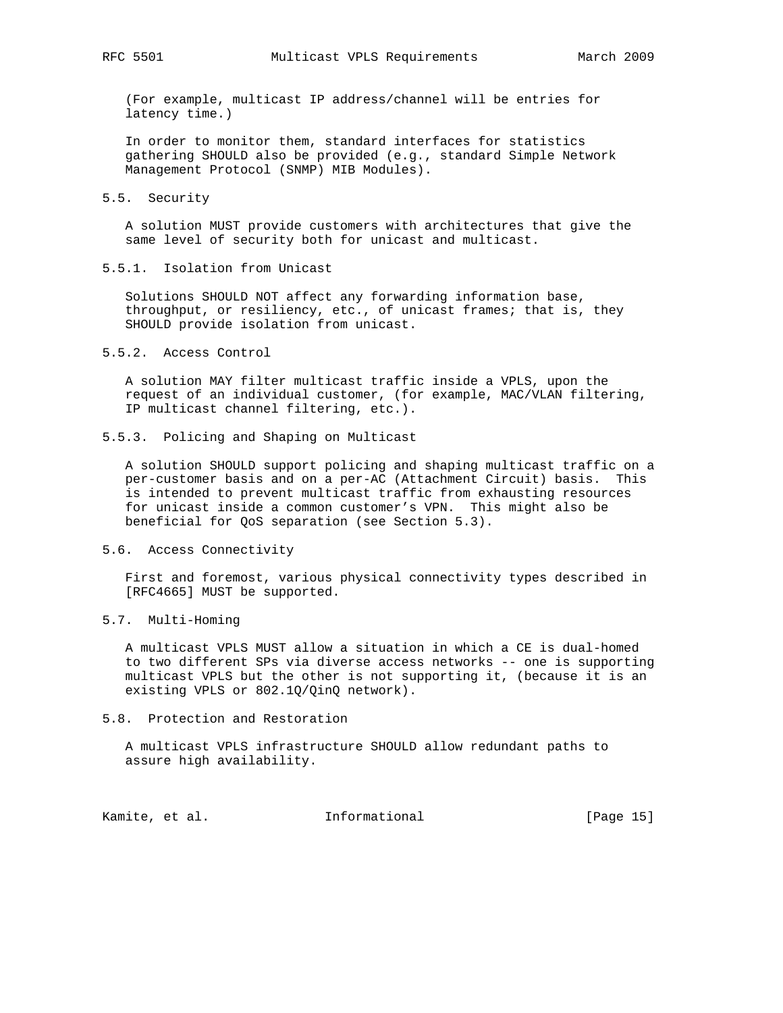(For example, multicast IP address/channel will be entries for latency time.)

 In order to monitor them, standard interfaces for statistics gathering SHOULD also be provided (e.g., standard Simple Network Management Protocol (SNMP) MIB Modules).

#### 5.5. Security

 A solution MUST provide customers with architectures that give the same level of security both for unicast and multicast.

5.5.1. Isolation from Unicast

 Solutions SHOULD NOT affect any forwarding information base, throughput, or resiliency, etc., of unicast frames; that is, they SHOULD provide isolation from unicast.

5.5.2. Access Control

 A solution MAY filter multicast traffic inside a VPLS, upon the request of an individual customer, (for example, MAC/VLAN filtering, IP multicast channel filtering, etc.).

5.5.3. Policing and Shaping on Multicast

 A solution SHOULD support policing and shaping multicast traffic on a per-customer basis and on a per-AC (Attachment Circuit) basis. This is intended to prevent multicast traffic from exhausting resources for unicast inside a common customer's VPN. This might also be beneficial for QoS separation (see Section 5.3).

5.6. Access Connectivity

 First and foremost, various physical connectivity types described in [RFC4665] MUST be supported.

# 5.7. Multi-Homing

 A multicast VPLS MUST allow a situation in which a CE is dual-homed to two different SPs via diverse access networks -- one is supporting multicast VPLS but the other is not supporting it, (because it is an existing VPLS or 802.1Q/QinQ network).

5.8. Protection and Restoration

 A multicast VPLS infrastructure SHOULD allow redundant paths to assure high availability.

Kamite, et al. **Informational** [Page 15]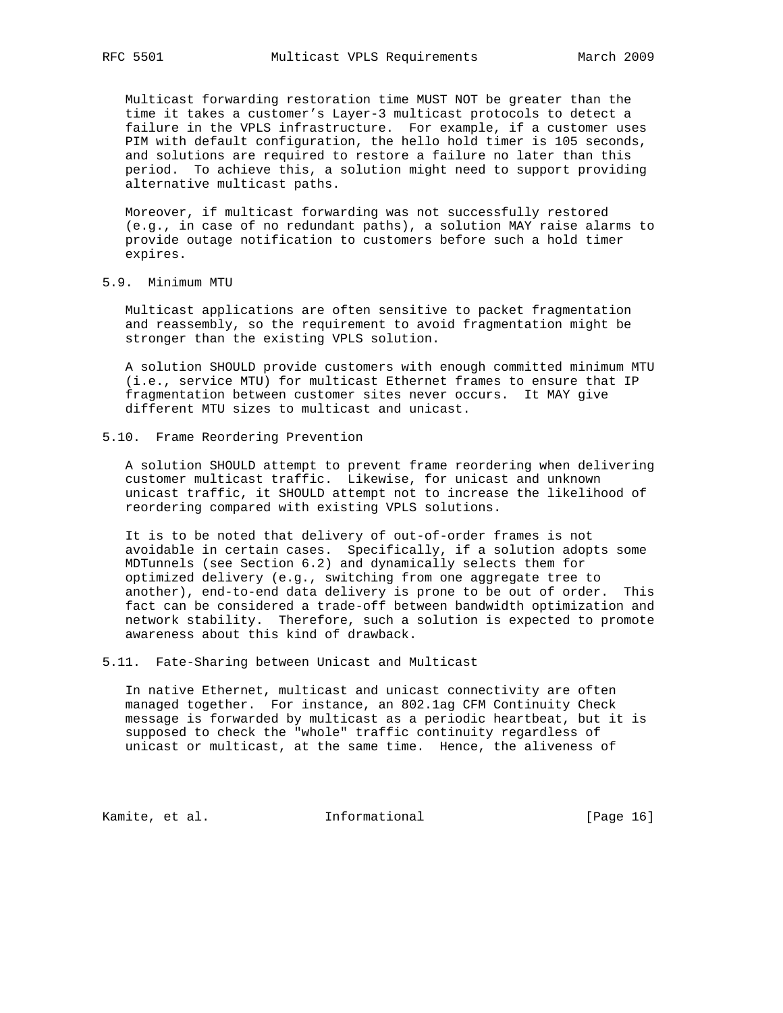Multicast forwarding restoration time MUST NOT be greater than the time it takes a customer's Layer-3 multicast protocols to detect a failure in the VPLS infrastructure. For example, if a customer uses PIM with default configuration, the hello hold timer is 105 seconds, and solutions are required to restore a failure no later than this period. To achieve this, a solution might need to support providing alternative multicast paths.

 Moreover, if multicast forwarding was not successfully restored (e.g., in case of no redundant paths), a solution MAY raise alarms to provide outage notification to customers before such a hold timer expires.

5.9. Minimum MTU

 Multicast applications are often sensitive to packet fragmentation and reassembly, so the requirement to avoid fragmentation might be stronger than the existing VPLS solution.

 A solution SHOULD provide customers with enough committed minimum MTU (i.e., service MTU) for multicast Ethernet frames to ensure that IP fragmentation between customer sites never occurs. It MAY give different MTU sizes to multicast and unicast.

5.10. Frame Reordering Prevention

 A solution SHOULD attempt to prevent frame reordering when delivering customer multicast traffic. Likewise, for unicast and unknown unicast traffic, it SHOULD attempt not to increase the likelihood of reordering compared with existing VPLS solutions.

 It is to be noted that delivery of out-of-order frames is not avoidable in certain cases. Specifically, if a solution adopts some MDTunnels (see Section 6.2) and dynamically selects them for optimized delivery (e.g., switching from one aggregate tree to another), end-to-end data delivery is prone to be out of order. This fact can be considered a trade-off between bandwidth optimization and network stability. Therefore, such a solution is expected to promote awareness about this kind of drawback.

5.11. Fate-Sharing between Unicast and Multicast

 In native Ethernet, multicast and unicast connectivity are often managed together. For instance, an 802.1ag CFM Continuity Check message is forwarded by multicast as a periodic heartbeat, but it is supposed to check the "whole" traffic continuity regardless of unicast or multicast, at the same time. Hence, the aliveness of

Kamite, et al. 1nformational 1999 [Page 16]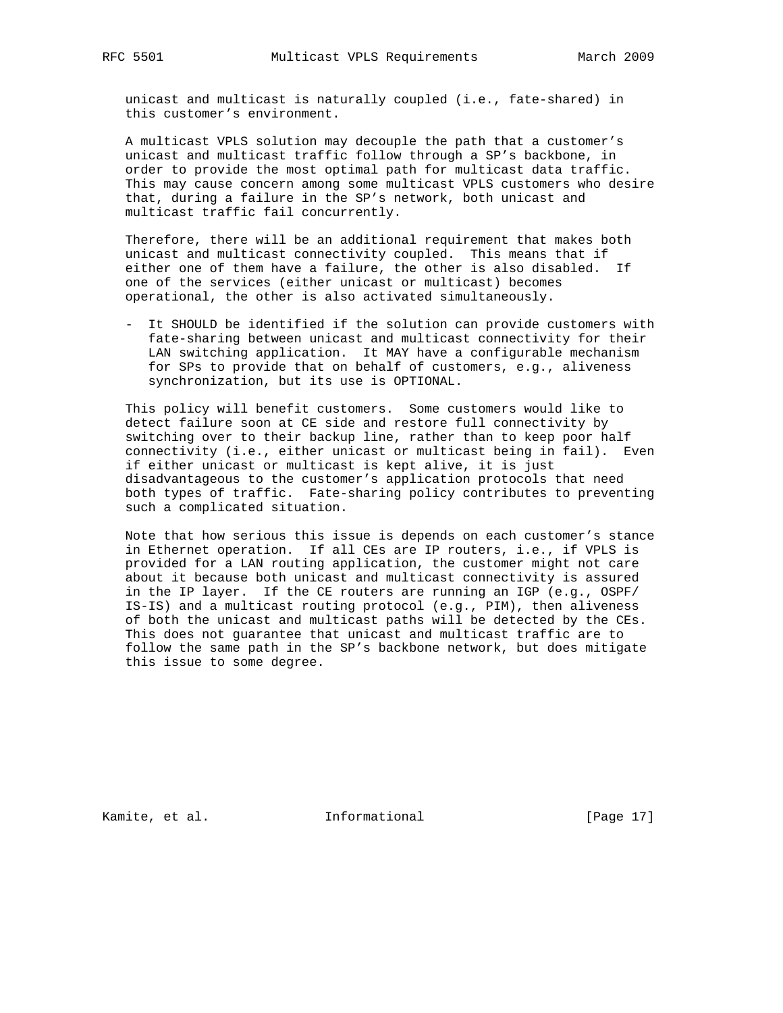unicast and multicast is naturally coupled (i.e., fate-shared) in this customer's environment.

 A multicast VPLS solution may decouple the path that a customer's unicast and multicast traffic follow through a SP's backbone, in order to provide the most optimal path for multicast data traffic. This may cause concern among some multicast VPLS customers who desire that, during a failure in the SP's network, both unicast and multicast traffic fail concurrently.

 Therefore, there will be an additional requirement that makes both unicast and multicast connectivity coupled. This means that if either one of them have a failure, the other is also disabled. If one of the services (either unicast or multicast) becomes operational, the other is also activated simultaneously.

 - It SHOULD be identified if the solution can provide customers with fate-sharing between unicast and multicast connectivity for their LAN switching application. It MAY have a configurable mechanism for SPs to provide that on behalf of customers, e.g., aliveness synchronization, but its use is OPTIONAL.

 This policy will benefit customers. Some customers would like to detect failure soon at CE side and restore full connectivity by switching over to their backup line, rather than to keep poor half connectivity (i.e., either unicast or multicast being in fail). Even if either unicast or multicast is kept alive, it is just disadvantageous to the customer's application protocols that need both types of traffic. Fate-sharing policy contributes to preventing such a complicated situation.

 Note that how serious this issue is depends on each customer's stance in Ethernet operation. If all CEs are IP routers, i.e., if VPLS is provided for a LAN routing application, the customer might not care about it because both unicast and multicast connectivity is assured in the IP layer. If the CE routers are running an IGP (e.g., OSPF/ IS-IS) and a multicast routing protocol (e.g., PIM), then aliveness of both the unicast and multicast paths will be detected by the CEs. This does not guarantee that unicast and multicast traffic are to follow the same path in the SP's backbone network, but does mitigate this issue to some degree.

Kamite, et al. 1nformational [Page 17]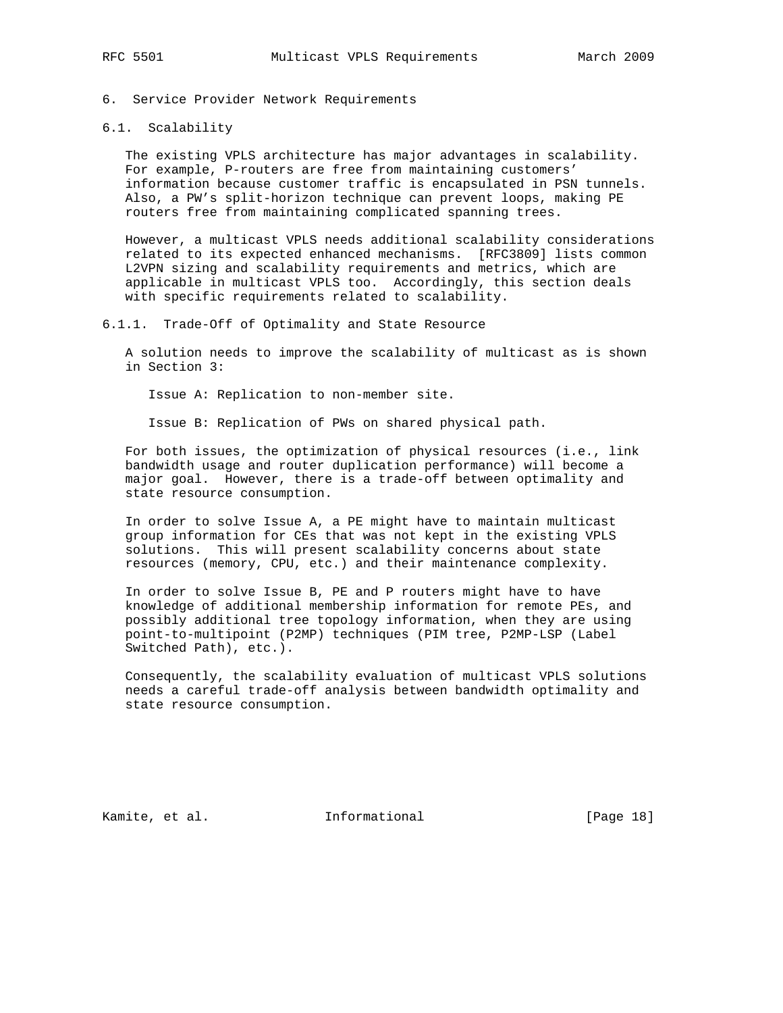#### 6.1. Scalability

 The existing VPLS architecture has major advantages in scalability. For example, P-routers are free from maintaining customers' information because customer traffic is encapsulated in PSN tunnels. Also, a PW's split-horizon technique can prevent loops, making PE routers free from maintaining complicated spanning trees.

 However, a multicast VPLS needs additional scalability considerations related to its expected enhanced mechanisms. [RFC3809] lists common L2VPN sizing and scalability requirements and metrics, which are applicable in multicast VPLS too. Accordingly, this section deals with specific requirements related to scalability.

#### 6.1.1. Trade-Off of Optimality and State Resource

 A solution needs to improve the scalability of multicast as is shown in Section 3:

Issue A: Replication to non-member site.

Issue B: Replication of PWs on shared physical path.

 For both issues, the optimization of physical resources (i.e., link bandwidth usage and router duplication performance) will become a major goal. However, there is a trade-off between optimality and state resource consumption.

 In order to solve Issue A, a PE might have to maintain multicast group information for CEs that was not kept in the existing VPLS solutions. This will present scalability concerns about state resources (memory, CPU, etc.) and their maintenance complexity.

 In order to solve Issue B, PE and P routers might have to have knowledge of additional membership information for remote PEs, and possibly additional tree topology information, when they are using point-to-multipoint (P2MP) techniques (PIM tree, P2MP-LSP (Label Switched Path), etc.).

 Consequently, the scalability evaluation of multicast VPLS solutions needs a careful trade-off analysis between bandwidth optimality and state resource consumption.

Kamite, et al. **Informational** [Page 18]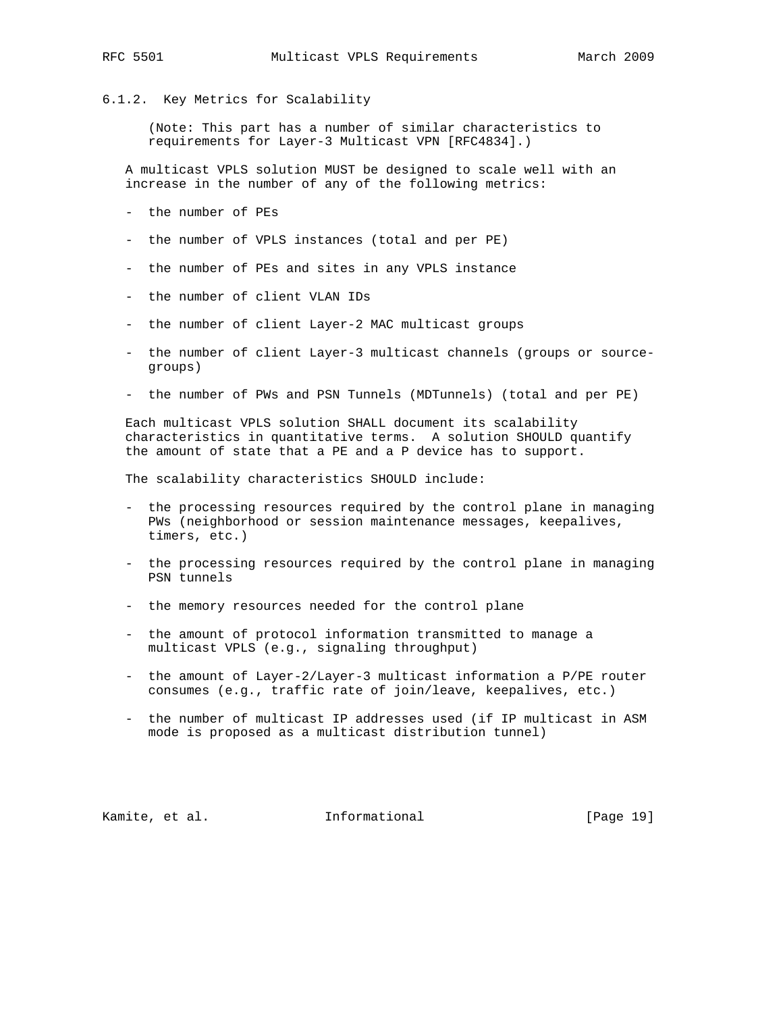#### 6.1.2. Key Metrics for Scalability

 (Note: This part has a number of similar characteristics to requirements for Layer-3 Multicast VPN [RFC4834].)

 A multicast VPLS solution MUST be designed to scale well with an increase in the number of any of the following metrics:

- the number of PEs
- the number of VPLS instances (total and per PE)
- the number of PEs and sites in any VPLS instance
- the number of client VLAN IDs
- the number of client Layer-2 MAC multicast groups
- the number of client Layer-3 multicast channels (groups or source groups)
- the number of PWs and PSN Tunnels (MDTunnels) (total and per PE)

 Each multicast VPLS solution SHALL document its scalability characteristics in quantitative terms. A solution SHOULD quantify the amount of state that a PE and a P device has to support.

The scalability characteristics SHOULD include:

- the processing resources required by the control plane in managing PWs (neighborhood or session maintenance messages, keepalives, timers, etc.)
- the processing resources required by the control plane in managing PSN tunnels
- the memory resources needed for the control plane
- the amount of protocol information transmitted to manage a multicast VPLS (e.g., signaling throughput)
- the amount of Layer-2/Layer-3 multicast information a P/PE router consumes (e.g., traffic rate of join/leave, keepalives, etc.)
- the number of multicast IP addresses used (if IP multicast in ASM mode is proposed as a multicast distribution tunnel)

Kamite, et al. **Informational** [Page 19]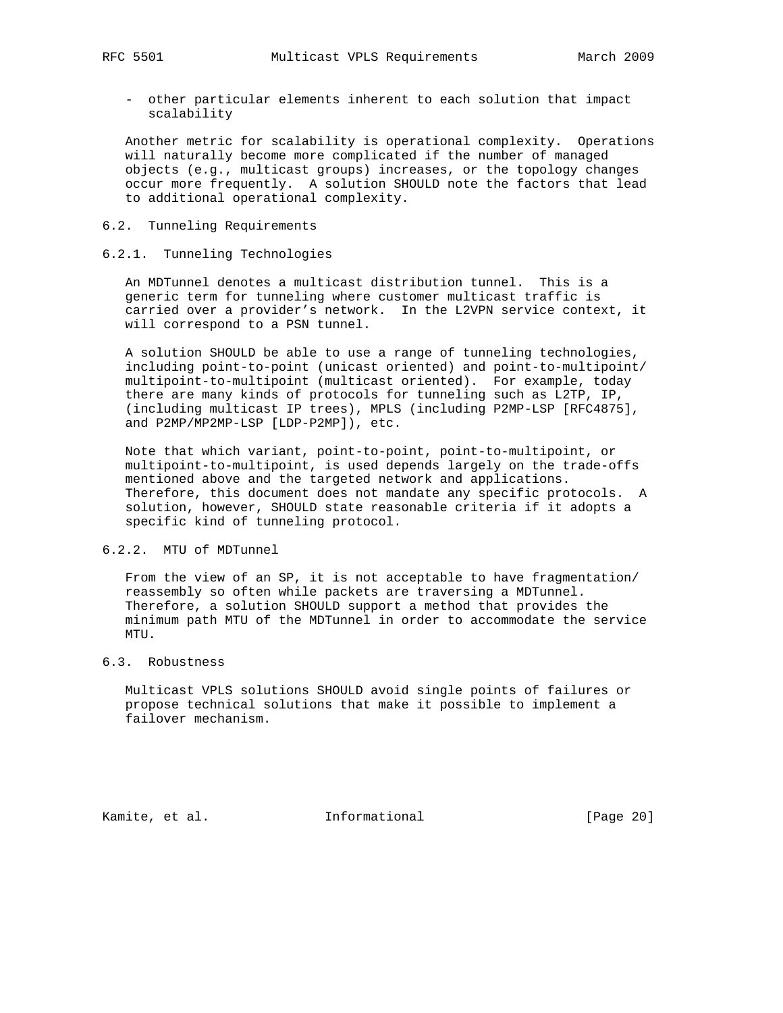- other particular elements inherent to each solution that impact scalability

 Another metric for scalability is operational complexity. Operations will naturally become more complicated if the number of managed objects (e.g., multicast groups) increases, or the topology changes occur more frequently. A solution SHOULD note the factors that lead to additional operational complexity.

### 6.2. Tunneling Requirements

#### 6.2.1. Tunneling Technologies

 An MDTunnel denotes a multicast distribution tunnel. This is a generic term for tunneling where customer multicast traffic is carried over a provider's network. In the L2VPN service context, it will correspond to a PSN tunnel.

 A solution SHOULD be able to use a range of tunneling technologies, including point-to-point (unicast oriented) and point-to-multipoint/ multipoint-to-multipoint (multicast oriented). For example, today there are many kinds of protocols for tunneling such as L2TP, IP, (including multicast IP trees), MPLS (including P2MP-LSP [RFC4875], and P2MP/MP2MP-LSP [LDP-P2MP]), etc.

 Note that which variant, point-to-point, point-to-multipoint, or multipoint-to-multipoint, is used depends largely on the trade-offs mentioned above and the targeted network and applications. Therefore, this document does not mandate any specific protocols. A solution, however, SHOULD state reasonable criteria if it adopts a specific kind of tunneling protocol.

# 6.2.2. MTU of MDTunnel

 From the view of an SP, it is not acceptable to have fragmentation/ reassembly so often while packets are traversing a MDTunnel. Therefore, a solution SHOULD support a method that provides the minimum path MTU of the MDTunnel in order to accommodate the service  $MTTI$ 

#### 6.3. Robustness

 Multicast VPLS solutions SHOULD avoid single points of failures or propose technical solutions that make it possible to implement a failover mechanism.

Kamite, et al. 1nformational [Page 20]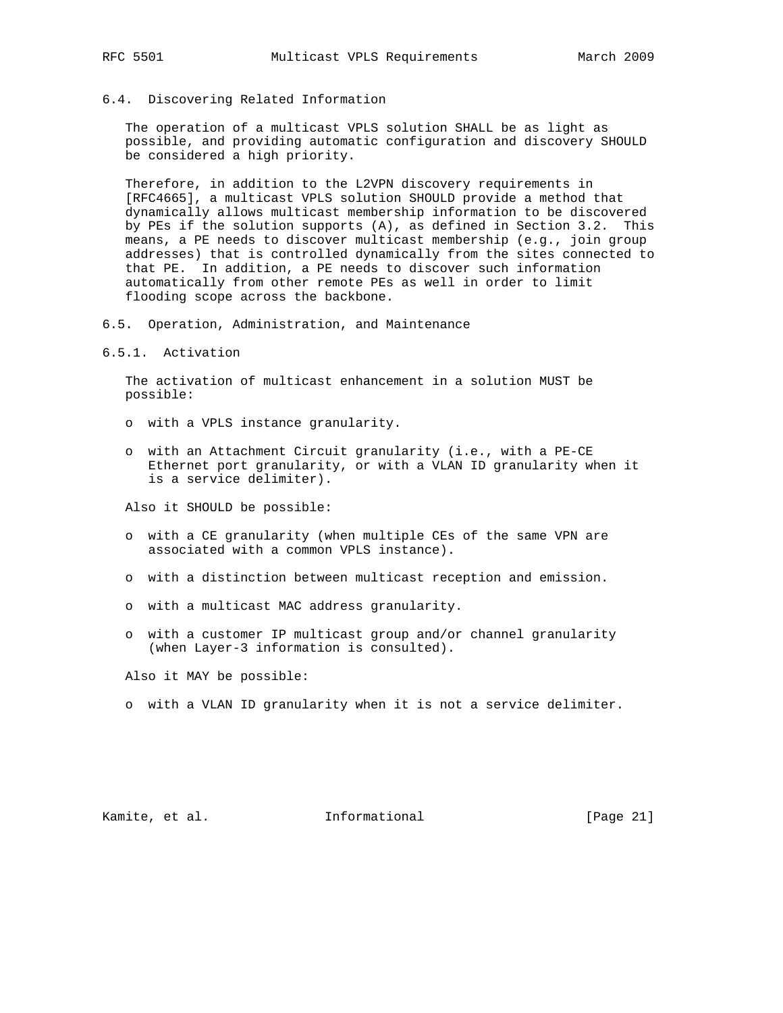## 6.4. Discovering Related Information

 The operation of a multicast VPLS solution SHALL be as light as possible, and providing automatic configuration and discovery SHOULD be considered a high priority.

 Therefore, in addition to the L2VPN discovery requirements in [RFC4665], a multicast VPLS solution SHOULD provide a method that dynamically allows multicast membership information to be discovered by PEs if the solution supports (A), as defined in Section 3.2. This means, a PE needs to discover multicast membership (e.g., join group addresses) that is controlled dynamically from the sites connected to that PE. In addition, a PE needs to discover such information automatically from other remote PEs as well in order to limit flooding scope across the backbone.

6.5. Operation, Administration, and Maintenance

6.5.1. Activation

 The activation of multicast enhancement in a solution MUST be possible:

- o with a VPLS instance granularity.
- o with an Attachment Circuit granularity (i.e., with a PE-CE Ethernet port granularity, or with a VLAN ID granularity when it is a service delimiter).

Also it SHOULD be possible:

- o with a CE granularity (when multiple CEs of the same VPN are associated with a common VPLS instance).
- o with a distinction between multicast reception and emission.
- o with a multicast MAC address granularity.
- o with a customer IP multicast group and/or channel granularity (when Layer-3 information is consulted).

Also it MAY be possible:

o with a VLAN ID granularity when it is not a service delimiter.

Kamite, et al. **Informational** [Page 21]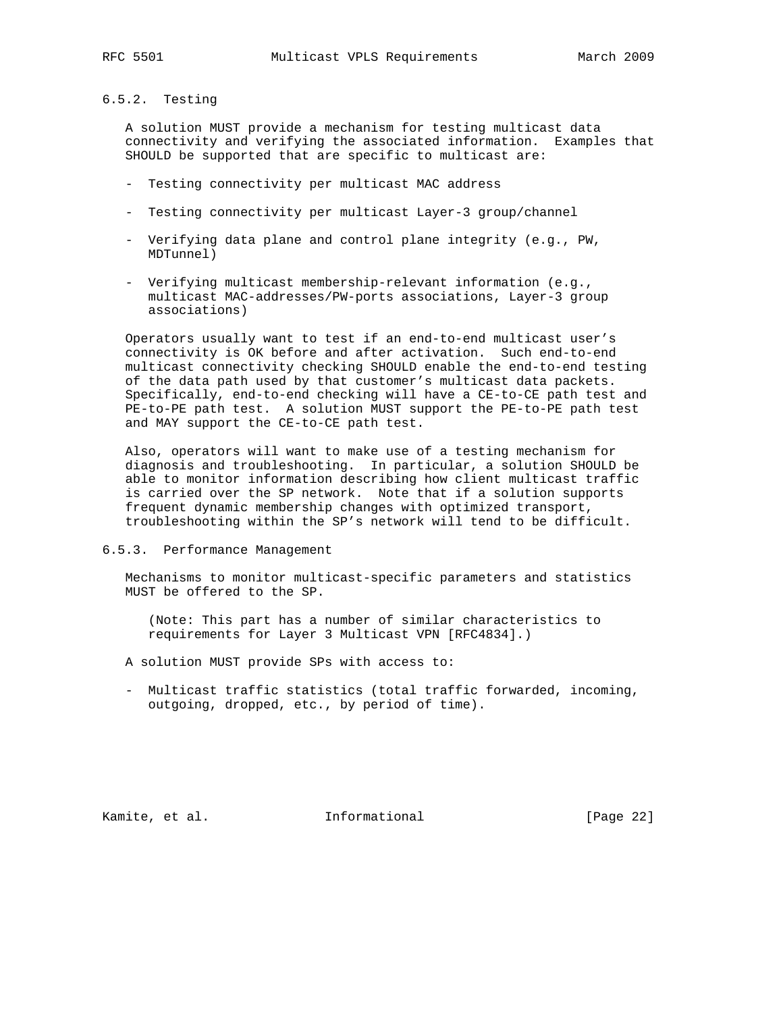# 6.5.2. Testing

 A solution MUST provide a mechanism for testing multicast data connectivity and verifying the associated information. Examples that SHOULD be supported that are specific to multicast are:

- Testing connectivity per multicast MAC address
- Testing connectivity per multicast Layer-3 group/channel
- Verifying data plane and control plane integrity (e.g., PW, MDTunnel)
- Verifying multicast membership-relevant information (e.g., multicast MAC-addresses/PW-ports associations, Layer-3 group associations)

 Operators usually want to test if an end-to-end multicast user's connectivity is OK before and after activation. Such end-to-end multicast connectivity checking SHOULD enable the end-to-end testing of the data path used by that customer's multicast data packets. Specifically, end-to-end checking will have a CE-to-CE path test and PE-to-PE path test. A solution MUST support the PE-to-PE path test and MAY support the CE-to-CE path test.

 Also, operators will want to make use of a testing mechanism for diagnosis and troubleshooting. In particular, a solution SHOULD be able to monitor information describing how client multicast traffic is carried over the SP network. Note that if a solution supports frequent dynamic membership changes with optimized transport, troubleshooting within the SP's network will tend to be difficult.

6.5.3. Performance Management

 Mechanisms to monitor multicast-specific parameters and statistics MUST be offered to the SP.

 (Note: This part has a number of similar characteristics to requirements for Layer 3 Multicast VPN [RFC4834].)

- A solution MUST provide SPs with access to:
- Multicast traffic statistics (total traffic forwarded, incoming, outgoing, dropped, etc., by period of time).

Kamite, et al. 1nformational 1999 [Page 22]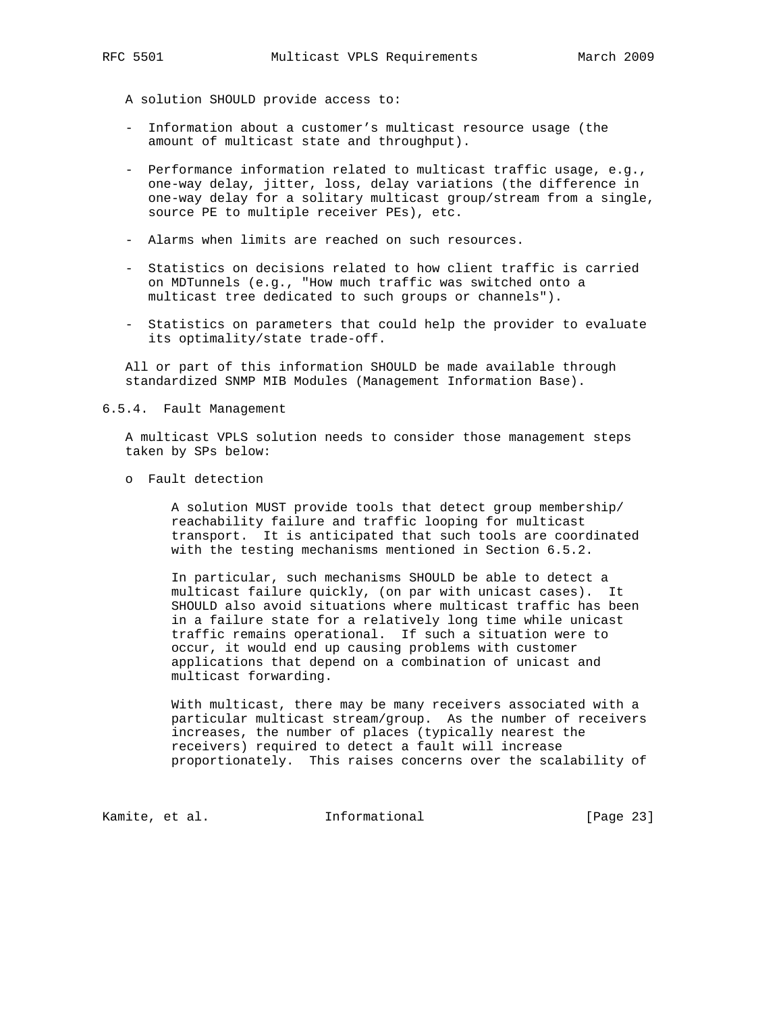A solution SHOULD provide access to:

- Information about a customer's multicast resource usage (the amount of multicast state and throughput).
- Performance information related to multicast traffic usage, e.g., one-way delay, jitter, loss, delay variations (the difference in one-way delay for a solitary multicast group/stream from a single, source PE to multiple receiver PEs), etc.
- Alarms when limits are reached on such resources.
- Statistics on decisions related to how client traffic is carried on MDTunnels (e.g., "How much traffic was switched onto a multicast tree dedicated to such groups or channels").
- Statistics on parameters that could help the provider to evaluate its optimality/state trade-off.

 All or part of this information SHOULD be made available through standardized SNMP MIB Modules (Management Information Base).

#### 6.5.4. Fault Management

 A multicast VPLS solution needs to consider those management steps taken by SPs below:

o Fault detection

 A solution MUST provide tools that detect group membership/ reachability failure and traffic looping for multicast transport. It is anticipated that such tools are coordinated with the testing mechanisms mentioned in Section 6.5.2.

 In particular, such mechanisms SHOULD be able to detect a multicast failure quickly, (on par with unicast cases). It SHOULD also avoid situations where multicast traffic has been in a failure state for a relatively long time while unicast traffic remains operational. If such a situation were to occur, it would end up causing problems with customer applications that depend on a combination of unicast and multicast forwarding.

 With multicast, there may be many receivers associated with a particular multicast stream/group. As the number of receivers increases, the number of places (typically nearest the receivers) required to detect a fault will increase proportionately. This raises concerns over the scalability of

Kamite, et al. 1nformational [Page 23]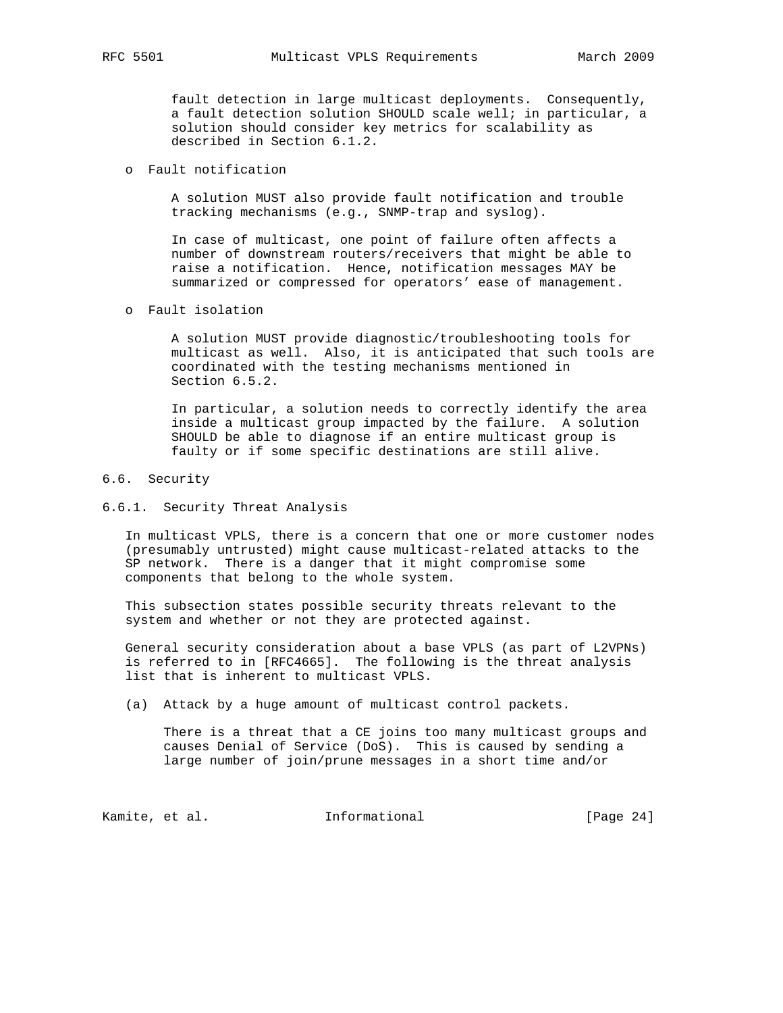fault detection in large multicast deployments. Consequently, a fault detection solution SHOULD scale well; in particular, a solution should consider key metrics for scalability as described in Section 6.1.2.

#### o Fault notification

 A solution MUST also provide fault notification and trouble tracking mechanisms (e.g., SNMP-trap and syslog).

 In case of multicast, one point of failure often affects a number of downstream routers/receivers that might be able to raise a notification. Hence, notification messages MAY be summarized or compressed for operators' ease of management.

o Fault isolation

 A solution MUST provide diagnostic/troubleshooting tools for multicast as well. Also, it is anticipated that such tools are coordinated with the testing mechanisms mentioned in Section 6.5.2.

 In particular, a solution needs to correctly identify the area inside a multicast group impacted by the failure. A solution SHOULD be able to diagnose if an entire multicast group is faulty or if some specific destinations are still alive.

### 6.6. Security

### 6.6.1. Security Threat Analysis

 In multicast VPLS, there is a concern that one or more customer nodes (presumably untrusted) might cause multicast-related attacks to the SP network. There is a danger that it might compromise some components that belong to the whole system.

 This subsection states possible security threats relevant to the system and whether or not they are protected against.

 General security consideration about a base VPLS (as part of L2VPNs) is referred to in [RFC4665]. The following is the threat analysis list that is inherent to multicast VPLS.

(a) Attack by a huge amount of multicast control packets.

 There is a threat that a CE joins too many multicast groups and causes Denial of Service (DoS). This is caused by sending a large number of join/prune messages in a short time and/or

Kamite, et al. 1nformational [Page 24]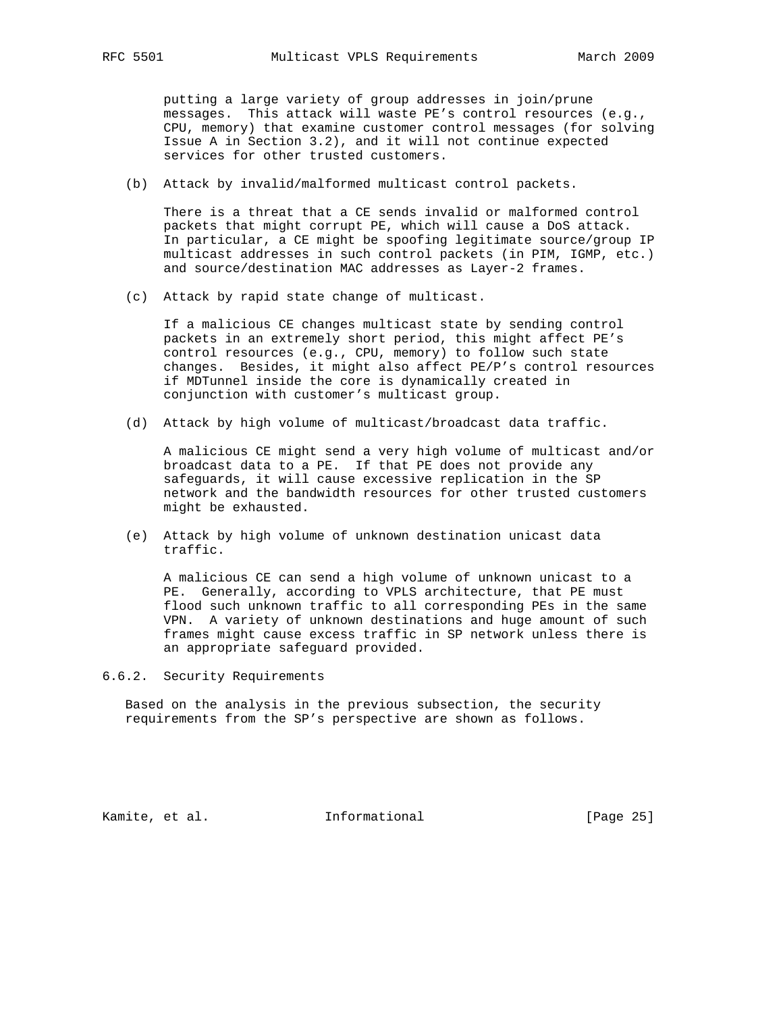putting a large variety of group addresses in join/prune messages. This attack will waste PE's control resources (e.g., CPU, memory) that examine customer control messages (for solving Issue A in Section 3.2), and it will not continue expected services for other trusted customers.

(b) Attack by invalid/malformed multicast control packets.

 There is a threat that a CE sends invalid or malformed control packets that might corrupt PE, which will cause a DoS attack. In particular, a CE might be spoofing legitimate source/group IP multicast addresses in such control packets (in PIM, IGMP, etc.) and source/destination MAC addresses as Layer-2 frames.

(c) Attack by rapid state change of multicast.

 If a malicious CE changes multicast state by sending control packets in an extremely short period, this might affect PE's control resources (e.g., CPU, memory) to follow such state changes. Besides, it might also affect PE/P's control resources if MDTunnel inside the core is dynamically created in conjunction with customer's multicast group.

(d) Attack by high volume of multicast/broadcast data traffic.

 A malicious CE might send a very high volume of multicast and/or broadcast data to a PE. If that PE does not provide any safeguards, it will cause excessive replication in the SP network and the bandwidth resources for other trusted customers might be exhausted.

 (e) Attack by high volume of unknown destination unicast data traffic.

 A malicious CE can send a high volume of unknown unicast to a PE. Generally, according to VPLS architecture, that PE must flood such unknown traffic to all corresponding PEs in the same VPN. A variety of unknown destinations and huge amount of such frames might cause excess traffic in SP network unless there is an appropriate safeguard provided.

6.6.2. Security Requirements

 Based on the analysis in the previous subsection, the security requirements from the SP's perspective are shown as follows.

Kamite, et al. 1nformational [Page 25]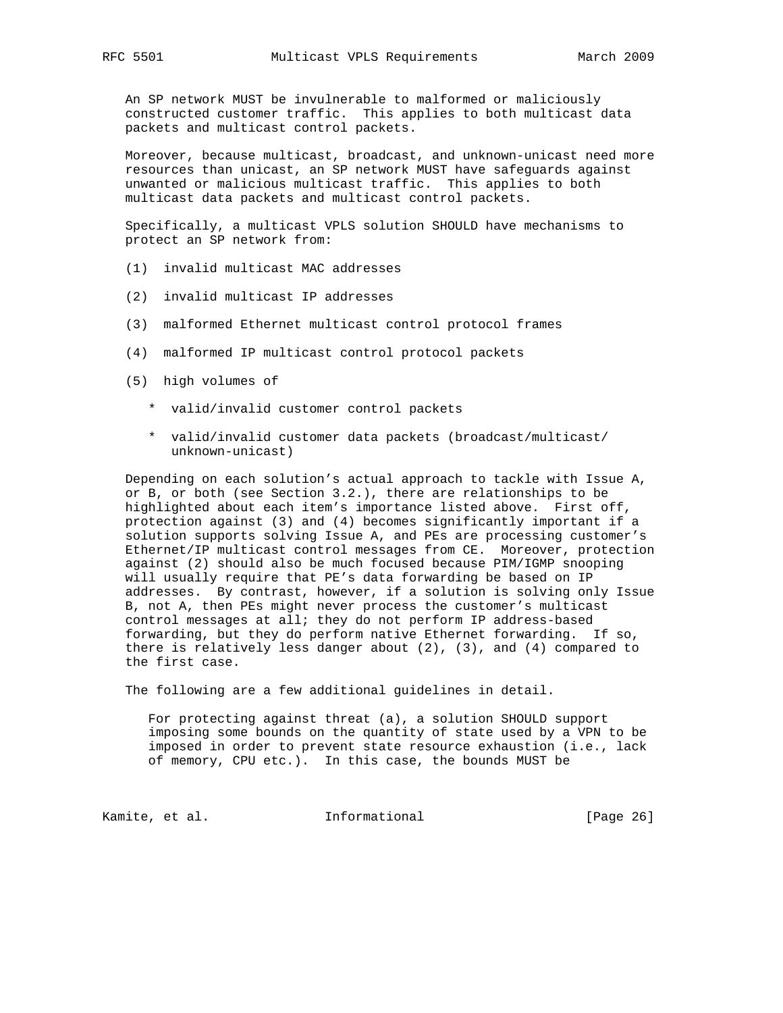An SP network MUST be invulnerable to malformed or maliciously constructed customer traffic. This applies to both multicast data packets and multicast control packets.

 Moreover, because multicast, broadcast, and unknown-unicast need more resources than unicast, an SP network MUST have safeguards against unwanted or malicious multicast traffic. This applies to both multicast data packets and multicast control packets.

 Specifically, a multicast VPLS solution SHOULD have mechanisms to protect an SP network from:

- (1) invalid multicast MAC addresses
- (2) invalid multicast IP addresses
- (3) malformed Ethernet multicast control protocol frames
- (4) malformed IP multicast control protocol packets
- (5) high volumes of
	- \* valid/invalid customer control packets
	- \* valid/invalid customer data packets (broadcast/multicast/ unknown-unicast)

 Depending on each solution's actual approach to tackle with Issue A, or B, or both (see Section 3.2.), there are relationships to be highlighted about each item's importance listed above. First off, protection against (3) and (4) becomes significantly important if a solution supports solving Issue A, and PEs are processing customer's Ethernet/IP multicast control messages from CE. Moreover, protection against (2) should also be much focused because PIM/IGMP snooping will usually require that PE's data forwarding be based on IP addresses. By contrast, however, if a solution is solving only Issue B, not A, then PEs might never process the customer's multicast control messages at all; they do not perform IP address-based forwarding, but they do perform native Ethernet forwarding. If so, there is relatively less danger about (2), (3), and (4) compared to the first case.

The following are a few additional guidelines in detail.

 For protecting against threat (a), a solution SHOULD support imposing some bounds on the quantity of state used by a VPN to be imposed in order to prevent state resource exhaustion (i.e., lack of memory, CPU etc.). In this case, the bounds MUST be

Kamite, et al. 1nformational [Page 26]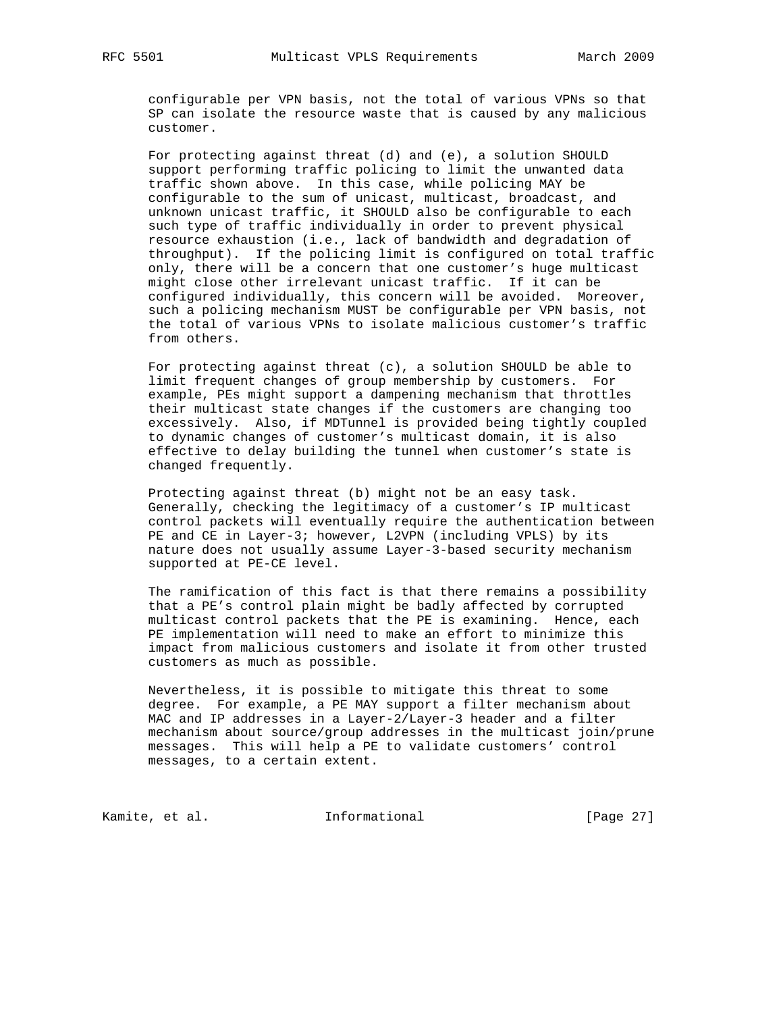configurable per VPN basis, not the total of various VPNs so that SP can isolate the resource waste that is caused by any malicious customer.

 For protecting against threat (d) and (e), a solution SHOULD support performing traffic policing to limit the unwanted data traffic shown above. In this case, while policing MAY be configurable to the sum of unicast, multicast, broadcast, and unknown unicast traffic, it SHOULD also be configurable to each such type of traffic individually in order to prevent physical resource exhaustion (i.e., lack of bandwidth and degradation of throughput). If the policing limit is configured on total traffic only, there will be a concern that one customer's huge multicast might close other irrelevant unicast traffic. If it can be configured individually, this concern will be avoided. Moreover, such a policing mechanism MUST be configurable per VPN basis, not the total of various VPNs to isolate malicious customer's traffic from others.

For protecting against threat  $(c)$ , a solution SHOULD be able to limit frequent changes of group membership by customers. For example, PEs might support a dampening mechanism that throttles their multicast state changes if the customers are changing too excessively. Also, if MDTunnel is provided being tightly coupled to dynamic changes of customer's multicast domain, it is also effective to delay building the tunnel when customer's state is changed frequently.

 Protecting against threat (b) might not be an easy task. Generally, checking the legitimacy of a customer's IP multicast control packets will eventually require the authentication between PE and CE in Layer-3; however, L2VPN (including VPLS) by its nature does not usually assume Layer-3-based security mechanism supported at PE-CE level.

 The ramification of this fact is that there remains a possibility that a PE's control plain might be badly affected by corrupted multicast control packets that the PE is examining. Hence, each PE implementation will need to make an effort to minimize this impact from malicious customers and isolate it from other trusted customers as much as possible.

 Nevertheless, it is possible to mitigate this threat to some degree. For example, a PE MAY support a filter mechanism about MAC and IP addresses in a Layer-2/Layer-3 header and a filter mechanism about source/group addresses in the multicast join/prune messages. This will help a PE to validate customers' control messages, to a certain extent.

Kamite, et al. 1nformational 1999 [Page 27]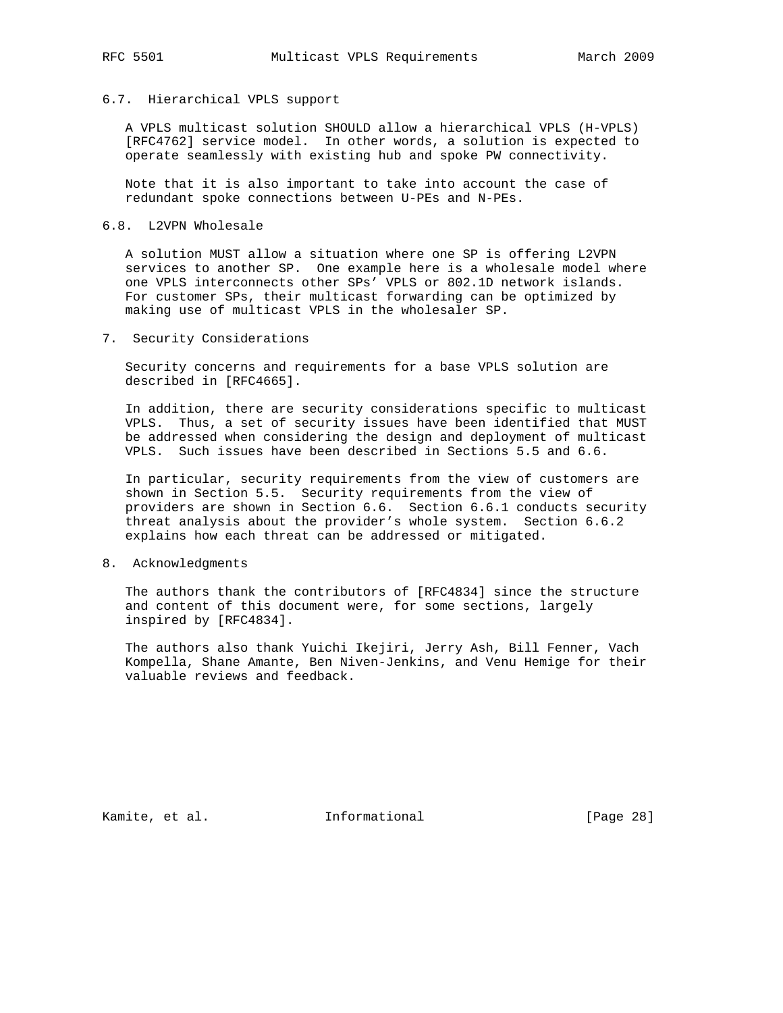### 6.7. Hierarchical VPLS support

 A VPLS multicast solution SHOULD allow a hierarchical VPLS (H-VPLS) [RFC4762] service model. In other words, a solution is expected to operate seamlessly with existing hub and spoke PW connectivity.

 Note that it is also important to take into account the case of redundant spoke connections between U-PEs and N-PEs.

#### 6.8. L2VPN Wholesale

 A solution MUST allow a situation where one SP is offering L2VPN services to another SP. One example here is a wholesale model where one VPLS interconnects other SPs' VPLS or 802.1D network islands. For customer SPs, their multicast forwarding can be optimized by making use of multicast VPLS in the wholesaler SP.

7. Security Considerations

 Security concerns and requirements for a base VPLS solution are described in [RFC4665].

 In addition, there are security considerations specific to multicast VPLS. Thus, a set of security issues have been identified that MUST be addressed when considering the design and deployment of multicast VPLS. Such issues have been described in Sections 5.5 and 6.6.

 In particular, security requirements from the view of customers are shown in Section 5.5. Security requirements from the view of providers are shown in Section 6.6. Section 6.6.1 conducts security threat analysis about the provider's whole system. Section 6.6.2 explains how each threat can be addressed or mitigated.

8. Acknowledgments

 The authors thank the contributors of [RFC4834] since the structure and content of this document were, for some sections, largely inspired by [RFC4834].

 The authors also thank Yuichi Ikejiri, Jerry Ash, Bill Fenner, Vach Kompella, Shane Amante, Ben Niven-Jenkins, and Venu Hemige for their valuable reviews and feedback.

Kamite, et al. 1nformational [Page 28]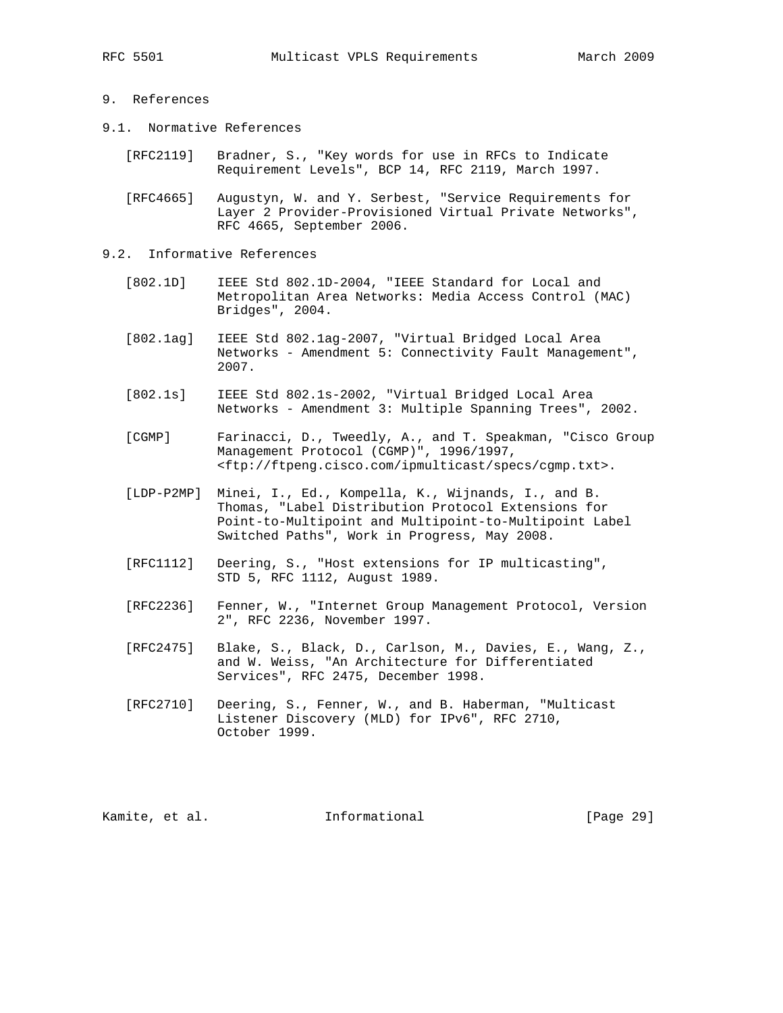# 9. References

- 9.1. Normative References
	- [RFC2119] Bradner, S., "Key words for use in RFCs to Indicate Requirement Levels", BCP 14, RFC 2119, March 1997.
	- [RFC4665] Augustyn, W. and Y. Serbest, "Service Requirements for Layer 2 Provider-Provisioned Virtual Private Networks", RFC 4665, September 2006.
- 9.2. Informative References
	- [802.1D] IEEE Std 802.1D-2004, "IEEE Standard for Local and Metropolitan Area Networks: Media Access Control (MAC) Bridges", 2004.
	- [802.1ag] IEEE Std 802.1ag-2007, "Virtual Bridged Local Area Networks - Amendment 5: Connectivity Fault Management", 2007.
	- [802.1s] IEEE Std 802.1s-2002, "Virtual Bridged Local Area Networks - Amendment 3: Multiple Spanning Trees", 2002.
	- [CGMP] Farinacci, D., Tweedly, A., and T. Speakman, "Cisco Group Management Protocol (CGMP)", 1996/1997, <ftp://ftpeng.cisco.com/ipmulticast/specs/cgmp.txt>.
	- [LDP-P2MP] Minei, I., Ed., Kompella, K., Wijnands, I., and B. Thomas, "Label Distribution Protocol Extensions for Point-to-Multipoint and Multipoint-to-Multipoint Label Switched Paths", Work in Progress, May 2008.
	- [RFC1112] Deering, S., "Host extensions for IP multicasting", STD 5, RFC 1112, August 1989.
	- [RFC2236] Fenner, W., "Internet Group Management Protocol, Version 2", RFC 2236, November 1997.
	- [RFC2475] Blake, S., Black, D., Carlson, M., Davies, E., Wang, Z., and W. Weiss, "An Architecture for Differentiated Services", RFC 2475, December 1998.
	- [RFC2710] Deering, S., Fenner, W., and B. Haberman, "Multicast Listener Discovery (MLD) for IPv6", RFC 2710, October 1999.

Kamite, et al. 1nformational [Page 29]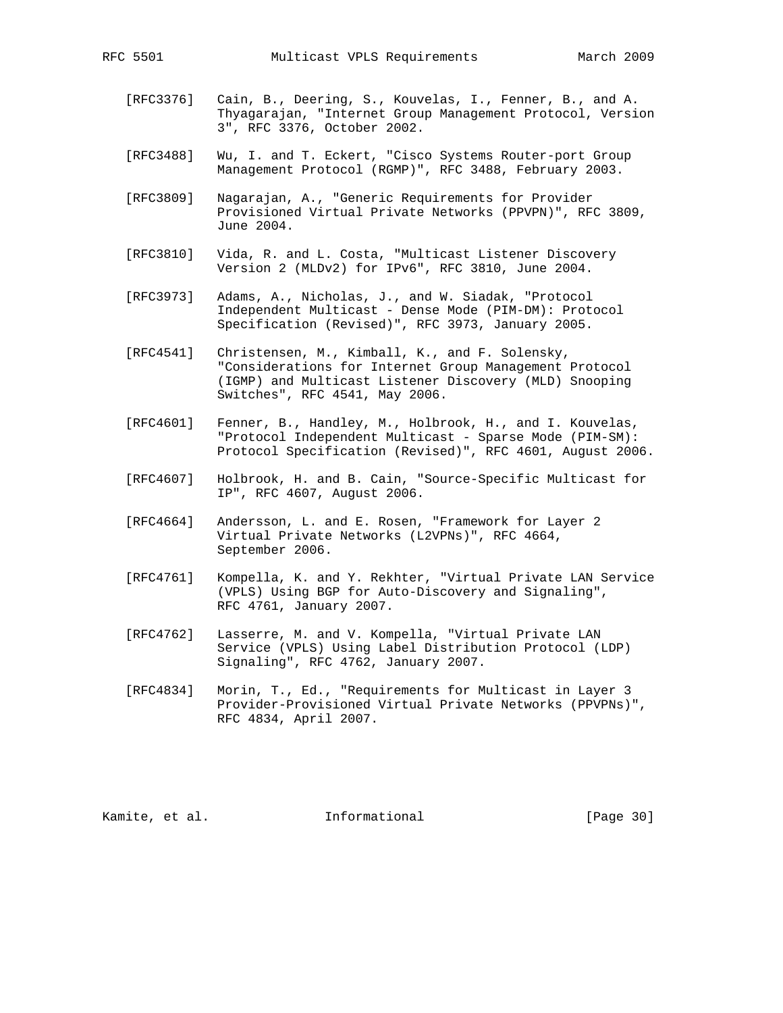- [RFC3376] Cain, B., Deering, S., Kouvelas, I., Fenner, B., and A. Thyagarajan, "Internet Group Management Protocol, Version 3", RFC 3376, October 2002.
- [RFC3488] Wu, I. and T. Eckert, "Cisco Systems Router-port Group Management Protocol (RGMP)", RFC 3488, February 2003.
- [RFC3809] Nagarajan, A., "Generic Requirements for Provider Provisioned Virtual Private Networks (PPVPN)", RFC 3809, June 2004.
- [RFC3810] Vida, R. and L. Costa, "Multicast Listener Discovery Version 2 (MLDv2) for IPv6", RFC 3810, June 2004.
- [RFC3973] Adams, A., Nicholas, J., and W. Siadak, "Protocol Independent Multicast - Dense Mode (PIM-DM): Protocol Specification (Revised)", RFC 3973, January 2005.
- [RFC4541] Christensen, M., Kimball, K., and F. Solensky, "Considerations for Internet Group Management Protocol (IGMP) and Multicast Listener Discovery (MLD) Snooping Switches", RFC 4541, May 2006.
- [RFC4601] Fenner, B., Handley, M., Holbrook, H., and I. Kouvelas, "Protocol Independent Multicast - Sparse Mode (PIM-SM): Protocol Specification (Revised)", RFC 4601, August 2006.
- [RFC4607] Holbrook, H. and B. Cain, "Source-Specific Multicast for IP", RFC 4607, August 2006.
- [RFC4664] Andersson, L. and E. Rosen, "Framework for Layer 2 Virtual Private Networks (L2VPNs)", RFC 4664, September 2006.
- [RFC4761] Kompella, K. and Y. Rekhter, "Virtual Private LAN Service (VPLS) Using BGP for Auto-Discovery and Signaling", RFC 4761, January 2007.
- [RFC4762] Lasserre, M. and V. Kompella, "Virtual Private LAN Service (VPLS) Using Label Distribution Protocol (LDP) Signaling", RFC 4762, January 2007.
- [RFC4834] Morin, T., Ed., "Requirements for Multicast in Layer 3 Provider-Provisioned Virtual Private Networks (PPVPNs)", RFC 4834, April 2007.

Kamite, et al. 1nformational [Page 30]